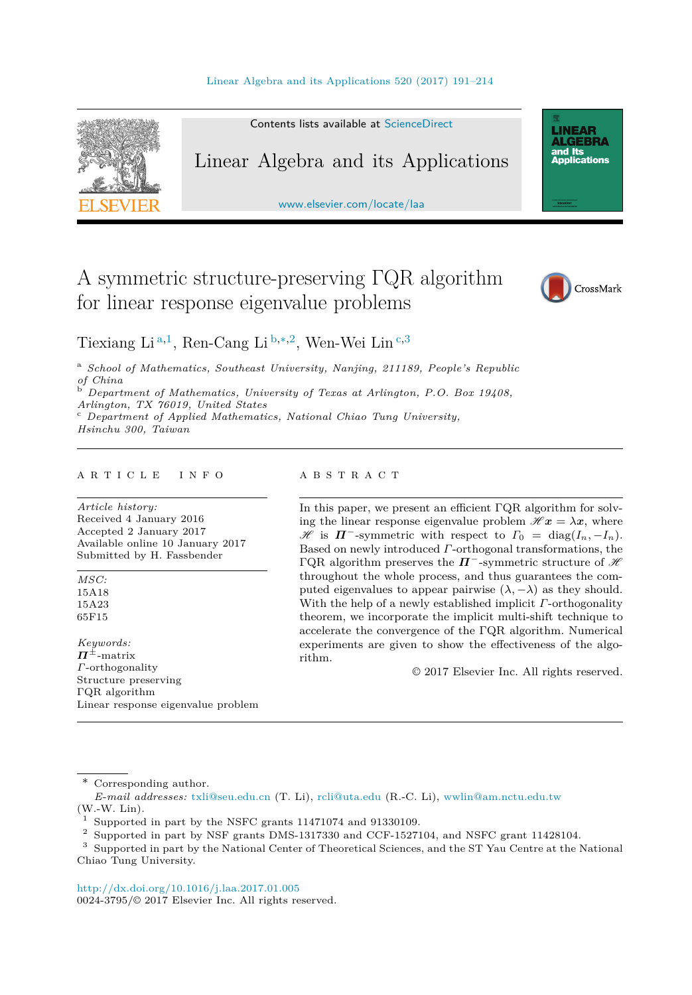

Contents lists available at [ScienceDirect](http://www.ScienceDirect.com/)

# Linear Algebra and its Applications

[www.elsevier.com/locate/laa](http://www.elsevier.com/locate/laa)

# A symmetric structure-preserving ΓQR algorithm for linear response eigenvalue problems



**LINEAR<br>ALGEBRA** and Its ana na<br>Applications

Tiexiang Li <sup>a</sup>*,*<sup>1</sup>, Ren-Cang Li <sup>b</sup>*,*∗*,*<sup>2</sup>, Wen-Wei Lin <sup>c</sup>*,*<sup>3</sup>

<sup>a</sup> *School of Mathematics, Southeast University, Nanjing, 211189, People's Republic of China* <sup>b</sup> *Department of Mathematics, University of Texas at Arlington, P.O. Box 19408,*

*Arlington, TX 76019, United States* <sup>c</sup> *Department of Applied Mathematics, National Chiao Tung University,*

*Hsinchu 300, Taiwan*

#### A R T I C L E I N F O A B S T R A C T

*Article history:* Received 4 January 2016 Accepted 2 January 2017 Available online 10 January 2017 Submitted by H. Fassbender

*MSC:* 15A18 15A23 65F15

*Keywords: Π*±-matrix *Γ*-orthogonality Structure preserving ΓQR algorithm Linear response eigenvalue problem

In this paper, we present an efficient ΓQR algorithm for solving the linear response eigenvalue problem  $\mathcal{H} x = \lambda x$ , where  $\mathscr{H}$  is  $\Pi^-$ -symmetric with respect to  $\Gamma_0 = \text{diag}(I_n, -I_n)$ . Based on newly introduced *Γ*-orthogonal transformations, the ΓQR algorithm preserves the  $\Pi^-$ -symmetric structure of  $\mathcal H$ throughout the whole process, and thus guarantees the computed eigenvalues to appear pairwise  $(\lambda, -\lambda)$  as they should. With the help of a newly established implicit *Γ*-orthogonality theorem, we incorporate the implicit multi-shift technique to accelerate the convergence of the ΓQR algorithm. Numerical experiments are given to show the effectiveness of the algorithm.

© 2017 Elsevier Inc. All rights reserved.

\* Corresponding author.

*E-mail addresses:* [txli@seu.edu.cn](mailto:txli@seu.edu.cn) (T. Li), [rcli@uta.edu](mailto:rcli@uta.edu) (R.-C. Li), [wwlin@am.nctu.edu.tw](mailto:wwlin@am.nctu.edu.tw) (W.-W. Lin).

<sup>2</sup> Supported in part by NSF grants DMS-1317330 and CCF-1527104, and NSFC grant 11428104.

<sup>3</sup> Supported in part by the National Center of Theoretical Sciences, and the ST Yau Centre at the National Chiao Tung University.

<http://dx.doi.org/10.1016/j.laa.2017.01.005> 0024-3795/© 2017 Elsevier Inc. All rights reserved.

<sup>&</sup>lt;sup>1</sup> Supported in part by the NSFC grants 11471074 and 91330109.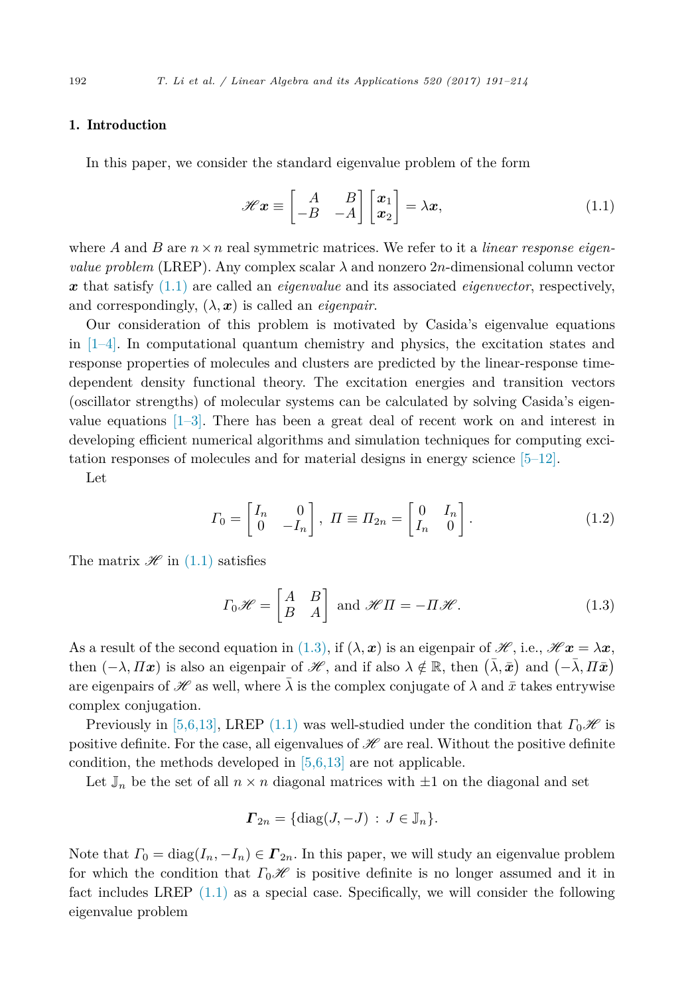## <span id="page-1-0"></span>1. Introduction

In this paper, we consider the standard eigenvalue problem of the form

$$
\mathscr{H}\mathbf{x} \equiv \begin{bmatrix} A & B \\ -B & -A \end{bmatrix} \begin{bmatrix} x_1 \\ x_2 \end{bmatrix} = \lambda \mathbf{x},\tag{1.1}
$$

where A and B are  $n \times n$  real symmetric matrices. We refer to it a *linear response eigenvalue problem* (LREP). Any complex scalar  $\lambda$  and nonzero 2*n*-dimensional column vector *x* that satisfy (1.1) are called an *eigenvalue* and its associated *eigenvector*, respectively, and correspondingly,  $(\lambda, x)$  is called an *eigenpair*.

Our consideration of this problem is motivated by Casida's eigenvalue equations in  $[1-4]$ . In computational quantum chemistry and physics, the excitation states and response properties of molecules and clusters are predicted by the linear-response timedependent density functional theory. The excitation energies and transition vectors (oscillator strengths) of molecular systems can be calculated by solving Casida's eigenvalue equations  $[1-3]$ . There has been a great deal of recent work on and interest in developing efficient numerical algorithms and simulation techniques for computing excitation responses of molecules and for material designs in energy science [\[5–12\].](#page-23-0)

Let

$$
\Gamma_0 = \begin{bmatrix} I_n & 0 \\ 0 & -I_n \end{bmatrix}, \ \Pi \equiv \Pi_{2n} = \begin{bmatrix} 0 & I_n \\ I_n & 0 \end{bmatrix}.
$$
 (1.2)

The matrix  $\mathscr{H}$  in (1.1) satisfies

$$
\Gamma_0 \mathscr{H} = \begin{bmatrix} A & B \\ B & A \end{bmatrix} \text{ and } \mathscr{H}\Pi = -\Pi \mathscr{H}. \tag{1.3}
$$

As a result of the second equation in (1.3), if  $(\lambda, x)$  is an eigenpair of  $\mathscr{H}$ , i.e.,  $\mathscr{H}x = \lambda x$ , then  $(-\lambda, \Pi x)$  is also an eigenpair of  $\mathscr{H}$ , and if also  $\lambda \notin \mathbb{R}$ , then  $(\bar{\lambda}, \bar{x})$  and  $(-\bar{\lambda}, \Pi \bar{x})$ are eigenpairs of  $\mathscr H$  as well, where  $\lambda$  is the complex conjugate of  $\lambda$  and  $\bar{x}$  takes entrywise complex conjugation.

Previously in [\[5,6,13\],](#page-23-0) LREP (1.1) was well-studied under the condition that  $\Gamma_0\mathscr{H}$  is positive definite. For the case, all eigenvalues of  $\mathscr H$  are real. Without the positive definite condition, the methods developed in [\[5,6,13\]](#page-23-0) are not applicable.

Let  $\mathbb{J}_n$  be the set of all  $n \times n$  diagonal matrices with  $\pm 1$  on the diagonal and set

$$
\boldsymbol{\Gamma}_{2n} = \{\text{diag}(J, -J) : J \in \mathbb{J}_n\}.
$$

Note that  $\Gamma_0 = \text{diag}(I_n, -I_n) \in \mathbf{\Gamma}_{2n}$ . In this paper, we will study an eigenvalue problem for which the condition that  $\Gamma_0\mathscr{H}$  is positive definite is no longer assumed and it in fact includes LREP  $(1.1)$  as a special case. Specifically, we will consider the following eigenvalue problem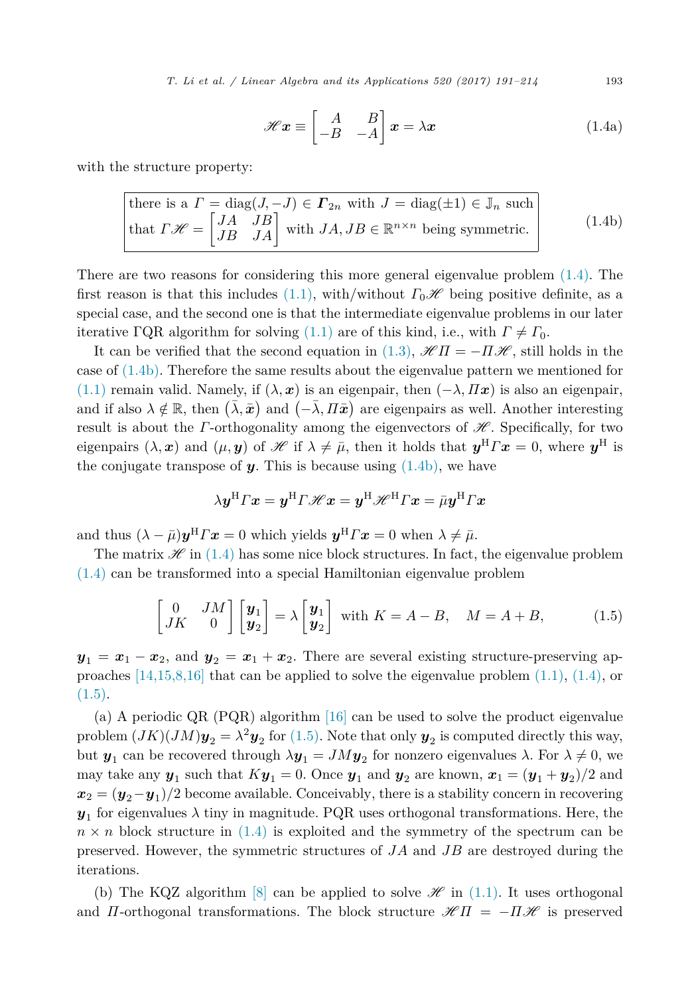*T. Li et al. / Linear Algebra and its Applications 520 (2017) 191–214* 193

$$
\mathcal{H}\mathbf{x} \equiv \begin{bmatrix} A & B \\ -B & -A \end{bmatrix} \mathbf{x} = \lambda \mathbf{x} \tag{1.4a}
$$

<span id="page-2-0"></span>with the structure property:

there is a 
$$
\Gamma = \text{diag}(J, -J) \in \Gamma_{2n}
$$
 with  $J = \text{diag}(\pm 1) \in \mathbb{J}_n$  such  
that  $\Gamma \mathcal{H} = \begin{bmatrix} JA & JB \\ JB & JA \end{bmatrix}$  with  $JA, JB \in \mathbb{R}^{n \times n}$  being symmetric. (1.4b)

There are two reasons for considering this more general eigenvalue problem [\(1.4\).](#page-1-0) The first reason is that this includes [\(1.1\),](#page-1-0) with/without  $\Gamma_0\mathscr{H}$  being positive definite, as a special case, and the second one is that the intermediate eigenvalue problems in our later iterative ΓQR algorithm for solving [\(1.1\)](#page-1-0) are of this kind, i.e., with  $\Gamma \neq \Gamma_0$ .

It can be verified that the second equation in [\(1.3\),](#page-1-0)  $\mathscr{H}\Pi = -\Pi\mathscr{H}$ , still holds in the case of (1.4b). Therefore the same results about the eigenvalue pattern we mentioned for [\(1.1\)](#page-1-0) remain valid. Namely, if  $(\lambda, x)$  is an eigenpair, then  $(-\lambda, \Pi x)$  is also an eigenpair, and if also  $\lambda \notin \mathbb{R}$ , then  $(\bar{\lambda}, \bar{\boldsymbol{x}})$  and  $(-\bar{\lambda}, \Pi \bar{\boldsymbol{x}})$  are eigenpairs as well. Another interesting result is about the *Γ*-orthogonality among the eigenvectors of  $\mathscr{H}$ . Specifically, for two eigenpairs  $(\lambda, x)$  and  $(\mu, y)$  of H if  $\lambda \neq \bar{\mu}$ , then it holds that  $y^H F x = 0$ , where  $y^H$  is the conjugate transpose of  $y$ . This is because using  $(1.4b)$ , we have

$$
\lambda \boldsymbol{y}^\mathrm{H} \boldsymbol{\varGamma} \boldsymbol{x} = \boldsymbol{y}^\mathrm{H} \boldsymbol{\varGamma} \mathscr{H} \boldsymbol{x} = \boldsymbol{y}^\mathrm{H} \mathscr{H}^\mathrm{H} \boldsymbol{\varGamma} \boldsymbol{x} = \bar{\mu} \boldsymbol{y}^\mathrm{H} \boldsymbol{\varGamma} \boldsymbol{x}
$$

and thus  $(\lambda - \bar{\mu})\mathbf{y}^{\mathrm{H}}\Gamma\mathbf{x} = 0$  which yields  $\mathbf{y}^{\mathrm{H}}\Gamma\mathbf{x} = 0$  when  $\lambda \neq \bar{\mu}$ .

The matrix  $\mathscr{H}$  in [\(1.4\)](#page-1-0) has some nice block structures. In fact, the eigenvalue problem [\(1.4\)](#page-1-0) can be transformed into a special Hamiltonian eigenvalue problem

$$
\begin{bmatrix} 0 & JM \\ JK & 0 \end{bmatrix} \begin{bmatrix} \mathbf{y}_1 \\ \mathbf{y}_2 \end{bmatrix} = \lambda \begin{bmatrix} \mathbf{y}_1 \\ \mathbf{y}_2 \end{bmatrix} \text{ with } K = A - B, \quad M = A + B,
$$
 (1.5)

 $y_1 = x_1 - x_2$ , and  $y_2 = x_1 + x_2$ . There are several existing structure-preserving approaches  $[14,15,8,16]$  that can be applied to solve the eigenvalue problem  $(1.1)$ ,  $(1.4)$ , or  $(1.5).$ 

(a) A periodic QR (PQR) algorithm [\[16\]](#page-23-0) can be used to solve the product eigenvalue problem  $(JK)(JM)y_2 = \lambda^2 y_2$  for (1.5). Note that only  $y_2$  is computed directly this way, but *y*<sub>1</sub> can be recovered through  $\lambda$ *y*<sub>1</sub> = *JMy*<sub>2</sub> for nonzero eigenvalues  $\lambda$ . For  $\lambda \neq 0$ , we may take any  $y_1$  such that  $Ky_1 = 0$ . Once  $y_1$  and  $y_2$  are known,  $x_1 = (y_1 + y_2)/2$  and  $x_2 = (y_2 - y_1)/2$  become available. Conceivably, there is a stability concern in recovering  $y_1$  for eigenvalues  $\lambda$  tiny in magnitude. PQR uses orthogonal transformations. Here, the  $n \times n$  block structure in  $(1.4)$  is exploited and the symmetry of the spectrum can be preserved. However, the symmetric structures of *JA* and *JB* are destroyed during the iterations.

(b) The KQZ algorithm [\[8\]](#page-23-0) can be applied to solve  $\mathscr{H}$  in [\(1.1\).](#page-1-0) It uses orthogonal and *Π*-orthogonal transformations. The block structure  $\mathcal{H} \Pi = -\Pi \mathcal{H}$  is preserved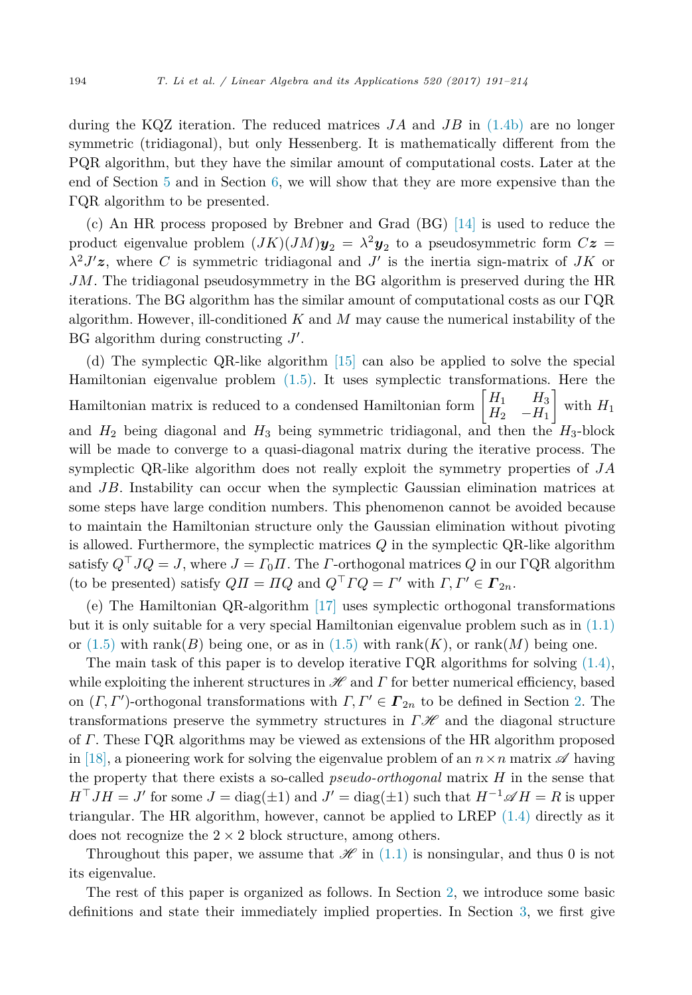during the KQZ iteration. The reduced matrices *JA* and *JB* in [\(1.4b\)](#page-2-0) are no longer symmetric (tridiagonal), but only Hessenberg. It is mathematically different from the PQR algorithm, but they have the similar amount of computational costs. Later at the end of Section [5](#page-15-0) and in Section [6,](#page-19-0) we will show that they are more expensive than the ΓQR algorithm to be presented.

(c) An HR process proposed by Brebner and Grad (BG) [\[14\]](#page-23-0) is used to reduce the product eigenvalue problem  $(JK)(JM)y_2 = \lambda^2 y_2$  to a pseudosymmetric form  $Cz =$ *λ*<sup>2</sup>*J*- *z*, where *C* is symmetric tridiagonal and *J*- is the inertia sign-matrix of *JK* or *JM*. The tridiagonal pseudosymmetry in the BG algorithm is preserved during the HR iterations. The BG algorithm has the similar amount of computational costs as our ΓQR algorithm. However, ill-conditioned *K* and *M* may cause the numerical instability of the BG algorithm during constructing  $J'$ .

(d) The symplectic QR-like algorithm [\[15\]](#page-23-0) can also be applied to solve the special Hamiltonian eigenvalue problem [\(1.5\).](#page-2-0) It uses symplectic transformations. Here the Hamiltonian matrix is reduced to a condensed Hamiltonian form  $\begin{bmatrix} H_1 & H_3 \\ H_4 & -H_5 \end{bmatrix}$  $H_2$  −*H*<sub>1</sub> 1 with  $H_1$ and  $H_2$  being diagonal and  $H_3$  being symmetric tridiagonal, and then the  $H_3$ -block will be made to converge to a quasi-diagonal matrix during the iterative process. The symplectic QR-like algorithm does not really exploit the symmetry properties of *JA* and *JB*. Instability can occur when the symplectic Gaussian elimination matrices at some steps have large condition numbers. This phenomenon cannot be avoided because to maintain the Hamiltonian structure only the Gaussian elimination without pivoting is allowed. Furthermore, the symplectic matrices *Q* in the symplectic QR-like algorithm satisfy  $Q^{\top}JQ = J$ , where  $J = \Gamma_0 \Pi$ . The *Γ*-orthogonal matrices *Q* in our ΓQR algorithm (to be presented) satisfy  $Q\Pi = \Pi Q$  and  $Q^{\dagger} \Gamma Q = \Gamma'$  with  $\Gamma, \Gamma' \in \Gamma_{2n}$ .

(e) The Hamiltonian QR-algorithm [\[17\]](#page-23-0) uses symplectic orthogonal transformations but it is only suitable for a very special Hamiltonian eigenvalue problem such as in [\(1.1\)](#page-1-0) or  $(1.5)$  with rank $(B)$  being one, or as in  $(1.5)$  with rank $(K)$ , or rank $(M)$  being one.

The main task of this paper is to develop iterative  $\Gamma$ QR algorithms for solving [\(1.4\),](#page-1-0) while exploiting the inherent structures in H and *Γ* for better numerical efficiency, based on  $(\Gamma, \Gamma')$ -orthogonal transformations with  $\Gamma, \Gamma' \in \Gamma_{2n}$  to be defined in Section [2.](#page-4-0) The transformations preserve the symmetry structures in  $\Gamma \mathcal{H}$  and the diagonal structure of *Γ*. These ΓQR algorithms may be viewed as extensions of the HR algorithm proposed in [\[18\],](#page-23-0) a pioneering work for solving the eigenvalue problem of an  $n \times n$  matrix  $\mathscr A$  having the property that there exists a so-called *pseudo-orthogonal* matrix *H* in the sense that  $H<sup>T</sup> J H = J'$  for some *J* = diag( $\pm 1$ ) and *J'* = diag( $\pm 1$ ) such that  $H<sup>-1</sup> \mathscr{A} H = R$  is upper triangular. The HR algorithm, however, cannot be applied to LREP  $(1.4)$  directly as it does not recognize the  $2 \times 2$  block structure, among others.

Throughout this paper, we assume that  $\mathscr{H}$  in [\(1.1\)](#page-1-0) is nonsingular, and thus 0 is not its eigenvalue.

The rest of this paper is organized as follows. In Section [2,](#page-4-0) we introduce some basic definitions and state their immediately implied properties. In Section [3,](#page-6-0) we first give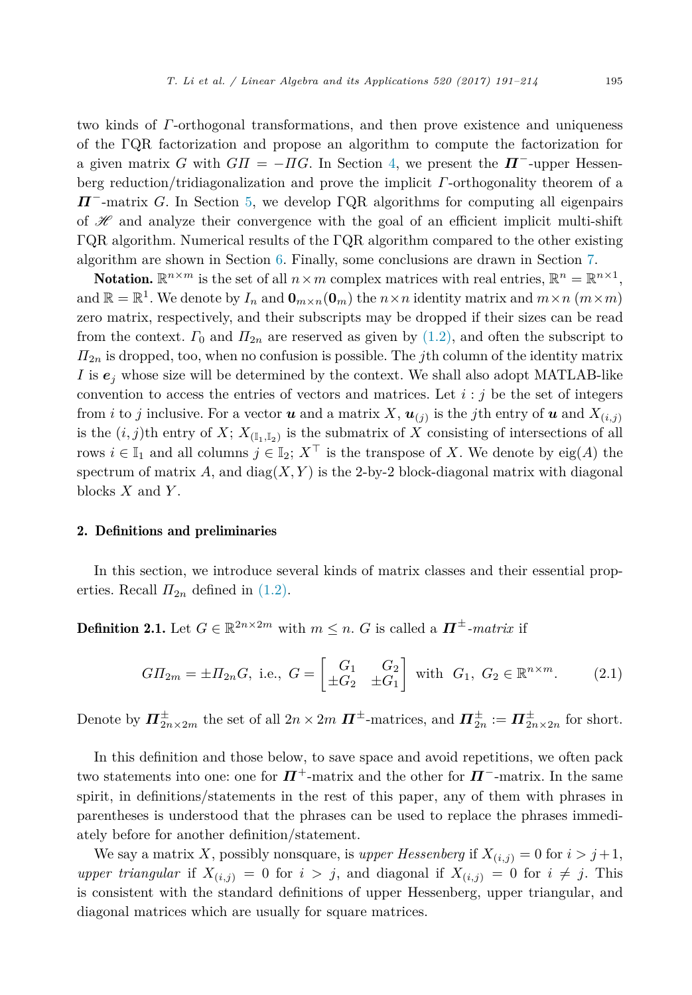<span id="page-4-0"></span>two kinds of *Γ*-orthogonal transformations, and then prove existence and uniqueness of the ΓQR factorization and propose an algorithm to compute the factorization for a given matrix *G* with  $G\Pi = -\Pi G$ . In Section [4,](#page-13-0) we present the  $\mathbf{\Pi}^-$ -upper Hessenberg reduction/tridiagonalization and prove the implicit *Γ*-orthogonality theorem of a *Π*−-matrix *G*. In Section [5,](#page-15-0) we develop ΓQR algorithms for computing all eigenpairs of  $H$  and analyze their convergence with the goal of an efficient implicit multi-shift ΓQR algorithm. Numerical results of the ΓQR algorithm compared to the other existing algorithm are shown in Section [6.](#page-19-0) Finally, some conclusions are drawn in Section [7.](#page-22-0)

**Notation.**  $\mathbb{R}^{n \times m}$  is the set of all  $n \times m$  complex matrices with real entries,  $\mathbb{R}^{n} = \mathbb{R}^{n \times 1}$ , and  $\mathbb{R} = \mathbb{R}^1$ . We denote by  $I_n$  and  $\mathbf{0}_{m \times n}(\mathbf{0}_m)$  the  $n \times n$  identity matrix and  $m \times n$  ( $m \times m$ ) zero matrix, respectively, and their subscripts may be dropped if their sizes can be read from the context.  $\Gamma_0$  and  $\Pi_{2n}$  are reserved as given by [\(1.2\),](#page-1-0) and often the subscript to *Π*2*<sup>n</sup>* is dropped, too, when no confusion is possible. The *j*th column of the identity matrix *I* is  $e_j$  whose size will be determined by the context. We shall also adopt MATLAB-like convention to access the entries of vectors and matrices. Let  $i : j$  be the set of integers from *i* to *j* inclusive. For a vector *u* and a matrix X,  $u_{(i)}$  is the *j*th entry of *u* and  $X_{(i,i)}$ is the  $(i, j)$ th entry of *X*;  $X_{(\mathbb{I}_1, \mathbb{I}_2)}$  is the submatrix of *X* consisting of intersections of all rows  $i \in I_1$  and all columns  $j \in I_2$ ;  $X^{\top}$  is the transpose of *X*. We denote by eig(*A*) the spectrum of matrix  $A$ , and diag( $X, Y$ ) is the 2-by-2 block-diagonal matrix with diagonal blocks *X* and *Y* .

### 2. Definitions and preliminaries

In this section, we introduce several kinds of matrix classes and their essential properties. Recall  $\Pi_{2n}$  defined in [\(1.2\).](#page-1-0)

**Definition 2.1.** Let  $G \in \mathbb{R}^{2n \times 2m}$  with  $m \leq n$ . *G* is called a  $\Pi^{\pm}$ *-matrix* if

$$
GII_{2m} = \pm \Pi_{2n}G
$$
, i.e.,  $G = \begin{bmatrix} G_1 & G_2 \\ \pm G_2 & \pm G_1 \end{bmatrix}$  with  $G_1, G_2 \in \mathbb{R}^{n \times m}$ . (2.1)

Denote by  $\Pi_{2n\times 2m}^{\pm}$  the set of all  $2n \times 2m$   $\Pi^{\pm}$ -matrices, and  $\Pi_{2n}^{\pm} := \Pi_{2n\times 2n}^{\pm}$  for short.

In this definition and those below, to save space and avoid repetitions, we often pack two statements into one: one for  $\Pi^+$ -matrix and the other for  $\Pi^-$ -matrix. In the same spirit, in definitions/statements in the rest of this paper, any of them with phrases in parentheses is understood that the phrases can be used to replace the phrases immediately before for another definition/statement.

We say a matrix X, possibly nonsquare, is *upper Hessenberg* if  $X_{(i,j)} = 0$  for  $i > j+1$ , *upper triangular* if  $X_{(i,j)} = 0$  for  $i > j$ , and diagonal if  $X_{(i,j)} = 0$  for  $i \neq j$ . This is consistent with the standard definitions of upper Hessenberg, upper triangular, and diagonal matrices which are usually for square matrices.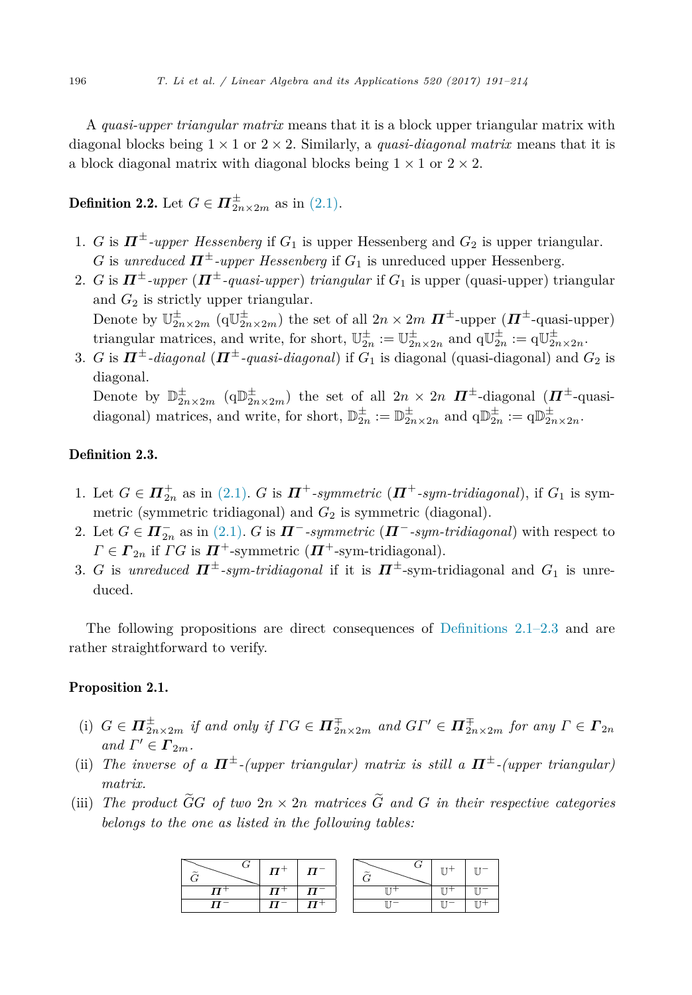<span id="page-5-0"></span>A *quasi-upper triangular matrix* means that it is a block upper triangular matrix with diagonal blocks being  $1 \times 1$  or  $2 \times 2$ . Similarly, a *quasi-diagonal matrix* means that it is a block diagonal matrix with diagonal blocks being  $1 \times 1$  or  $2 \times 2$ .

# **Definition 2.2.** Let  $G \in \mathbf{\Pi}_{2n \times 2m}^{\pm}$  as in [\(2.1\).](#page-4-0)

- 1. *G* is  $\Pi^{\pm}$ -upper Hessenberg if  $G_1$  is upper Hessenberg and  $G_2$  is upper triangular. *G* is *unreduced*  $\Pi^{\pm}$ -*upper Hessenberg* if  $G_1$  is unreduced upper Hessenberg.
- 2. *G* is  $\Pi^{\pm}$ -upper ( $\Pi^{\pm}$ -quasi-upper) *triangular* if  $G_1$  is upper (quasi-upper) triangular and  $G_2$  is strictly upper triangular. Denote by  $\mathbb{U}_{2n\times2m}^{\pm}$   $(\mathbb{q}\mathbb{U}_{2n\times2m}^{\pm})$  the set of all  $2n\times2m$   $\Pi^{\pm}$ -upper  $(\Pi^{\pm}$ -quasi-upper) triangular matrices, and write, for short,  $\mathbb{U}_{2n}^{\pm} := \mathbb{U}_{2n \times 2n}^{\pm}$  and  $q\mathbb{U}_{2n}^{\pm} := q\mathbb{U}_{2n \times 2n}^{\pm}$ .
- 3. *G* is  $\Pi^{\pm}$ -diagonal ( $\Pi^{\pm}$ -quasi-diagonal) if  $G_1$  is diagonal (quasi-diagonal) and  $G_2$  is diagonal. Denote by  $\mathbb{D}^{\pm}_{2n\times2m}$  ( $q\mathbb{D}^{\pm}_{2n\times2m}$ ) the set of all  $2n \times 2n$   $\Pi^{\pm}$ -diagonal ( $\Pi^{\pm}$ -quasidiagonal) matrices, and write, for short,  $\mathbb{D}_{2n}^{\pm} := \mathbb{D}_{2n \times 2n}^{\pm}$  and  $q \mathbb{D}_{2n}^{\pm} := q \mathbb{D}_{2n \times 2n}^{\pm}$ .

Definition 2.3.

- 1. Let  $G \in \mathbf{\Pi}_{2n}^+$  as in [\(2.1\).](#page-4-0) *G* is  $\mathbf{\Pi}^+$ -symmetric ( $\mathbf{\Pi}^+$ -sym-tridiagonal), if  $G_1$  is symmetric (symmetric tridiagonal) and  $G_2$  is symmetric (diagonal).
- 2. Let  $G \in \mathbf{\Pi}_{2n}^-$  as in [\(2.1\).](#page-4-0)  $G$  is  $\mathbf{\Pi}^-$ -symmetric ( $\mathbf{\Pi}^-$ -sym-tridiagonal) with respect to  $\Gamma \in \Gamma_{2n}$  if  $\Gamma G$  is  $\mathbf{\Pi}^+$ -symmetric  $(\mathbf{\Pi}^+$ -sym-tridiagonal).
- 3. *G* is *unreduced*  $\mathbf{\Pi}^{\pm}$ -sym-tridiagonal if it is  $\mathbf{\Pi}^{\pm}$ -sym-tridiagonal and  $G_1$  is unreduced.

The following propositions are direct consequences of [Definitions 2.1–2.3](#page-4-0) and are rather straightforward to verify.

## Proposition 2.1.

- (i)  $G \in \mathbf{\Pi}^{\pm}_{2n\times 2m}$  if and only if  $\Gamma G \in \mathbf{\Pi}^{\pm}_{2n\times 2m}$  and  $G\Gamma' \in \mathbf{\Pi}^{\pm}_{2n\times 2m}$  for any  $\Gamma \in \mathbf{\Gamma}_{2n}$  $and \Gamma' \in \Gamma_{2m}$ .
- (ii) *The inverse of a*  $\Pi^{\pm}$ *-(upper triangular) matrix is still a*  $\Pi^{\pm}$ *-(upper triangular) matrix.*
- (iii) The product  $\widetilde{G}G$  of two  $2n \times 2n$  matrices  $\widetilde{G}$  and  $G$  in their respective categories *belongs to the one as listed in the following tables:*

|  | $\Pi^-$ |  |  |
|--|---------|--|--|
|  | -       |  |  |
|  |         |  |  |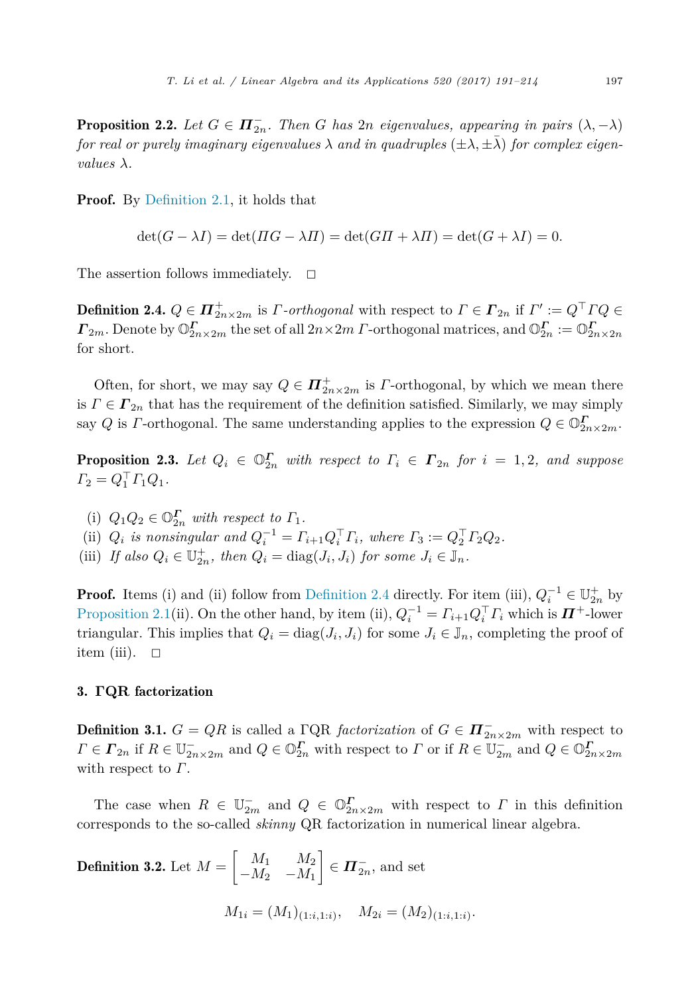<span id="page-6-0"></span>**Proposition 2.2.** Let  $G \in \mathbf{\Pi}_{2n}^-$ . Then  $G$  has  $2n$  eigenvalues, appearing in pairs  $(\lambda, -\lambda)$ *for* real or purely *imaginary eigenvalues*  $\lambda$  *and in quadruples* ( $\pm \lambda$ ,  $\pm \lambda$ ) *for complex eigenvalues*  $\lambda$ *.* 

Proof. By [Definition 2.1,](#page-4-0) it holds that

$$
\det(G - \lambda I) = \det(HG - \lambda \Pi) = \det(G\Pi + \lambda \Pi) = \det(G + \lambda I) = 0.
$$

The assertion follows immediately.  $\square$ 

Definition 2.4.  $Q \in \mathbf{\Pi}_{2n \times 2m}^+$  is *Γ-orthogonal* with respect to  $\Gamma \in \mathbf{\Gamma}_{2n}$  if  $\Gamma' := Q^{\top} \Gamma Q \in \mathbf{\Pi}_{2n}$ *<i>Γ*<sub>2*m*</sub>. Denote by  $\mathbb{O}_{2n \times 2m}^{\Gamma}$  the set of all  $2n \times 2m$  *Γ*-orthogonal matrices, and  $\mathbb{O}_{2n}^{\Gamma} := \mathbb{O}_{2n \times 2n}^{\Gamma}$ for short.

Often, for short, we may say  $Q \in \mathbf{\Pi}_{2n \times 2m}^+$  is *Γ*-orthogonal, by which we mean there is  $\Gamma \in \Gamma_{2n}$  that has the requirement of the definition satisfied. Similarly, we may simply say *Q* is *Γ*-orthogonal. The same understanding applies to the expression  $Q \in \mathbb{O}_{2n \times 2m}^{\Gamma}$ .

**Proposition 2.3.** Let  $Q_i \in \mathbb{O}_{2n}^{\Gamma}$  with respect to  $\Gamma_i \in \Gamma_{2n}$  for  $i = 1, 2$ , and suppose  $\Gamma_2 = Q_1^{\perp} \Gamma_1 Q_1.$ 

- (i)  $Q_1 Q_2 \in \mathbb{O}_{2n}^{\Gamma}$  *with respect to*  $\Gamma_1$ *.*
- (ii)  $Q_i$  *is nonsingular and*  $Q_i^{-1} = \Gamma_{i+1} Q_i^{\top} \Gamma_i$ , where  $\Gamma_3 := Q_2^{\top} \Gamma_2 Q_2$ .

(iii) *If also*  $Q_i \in \mathbb{U}_{2n}^+$ , then  $Q_i = \text{diag}(J_i, J_i)$  for some  $J_i \in \mathbb{J}_n$ .

**Proof.** Items (i) and (ii) follow from Definition 2.4 directly. For item (iii),  $Q_i^{-1} \in \mathbb{U}_{2n}^+$  by [Proposition 2.1\(](#page-5-0)ii). On the other hand, by item (ii),  $Q_i^{-1} = \Gamma_{i+1} Q_i^{\top} \Gamma_i$  which is  $\mathbf{\Pi}^+$ -lower triangular. This implies that  $Q_i = \text{diag}(J_i, J_i)$  for some  $J_i \in \mathbb{J}_n$ , completing the proof of item (iii).  $\Box$ 

#### 3. **ΓQR** factorization

**Definition 3.1.**  $G = QR$  is called a  $\Gamma QR$  *factorization* of  $G \in \mathbf{\Pi}_{2n \times 2m}^-$  with respect to  $\Gamma \in \mathbf{F}_{2n}$  if  $R \in \mathbb{U}_{2n \times 2m}^-$  and  $Q \in \mathbb{O}_{2n}^{\mathbf{F}}$  with respect to  $\Gamma$  or if  $R \in \mathbb{U}_{2m}^-$  and  $Q \in \mathbb{O}_{2n \times 2m}^{\mathbf{F}}$ with respect to *Γ*.

The case when  $R \in \mathbb{U}_{2m}^-$  and  $Q \in \mathbb{O}_{2n \times 2m}^{\Gamma}$  with respect to  $\Gamma$  in this definition corresponds to the so-called *skinny* QR factorization in numerical linear algebra.

**Definition 3.2.** Let 
$$
M = \begin{bmatrix} M_1 & M_2 \ -M_2 & -M_1 \end{bmatrix} \in \mathbf{\Pi}_{2n}^-
$$
, and set  

$$
M_{1i} = (M_1)_{(1:i,1:i)}, \quad M_{2i} = (M_2)_{(1:i,1:i)}.
$$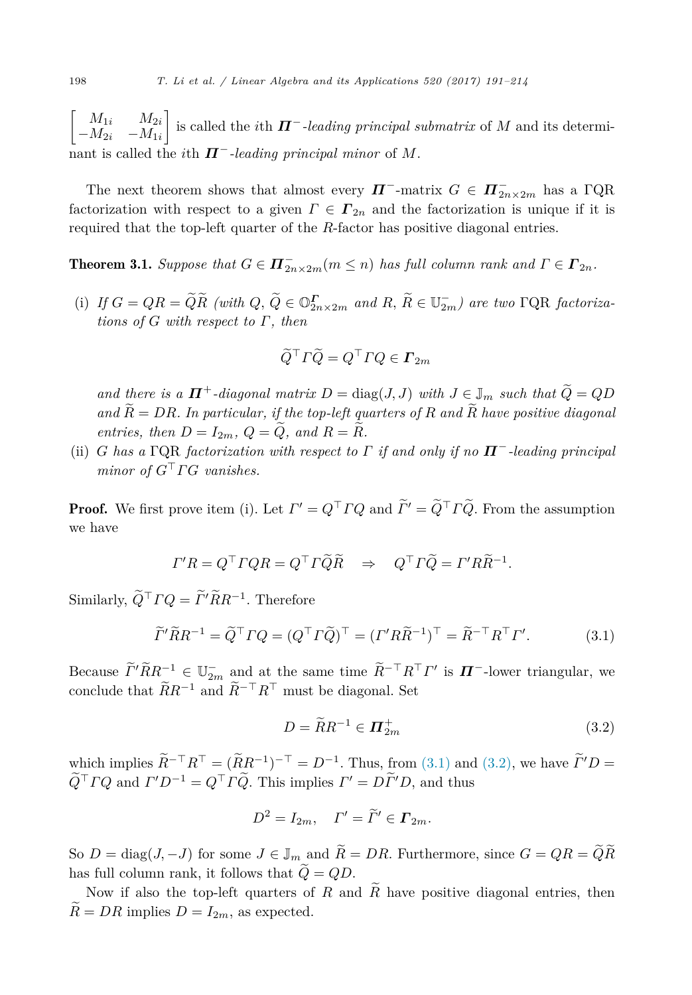<span id="page-7-0"></span> $\begin{bmatrix} M_{1i} & M_{2i} \end{bmatrix}$  $-M_{2i}$  −*M*<sub>1*i*</sub> 1 is called the *i*th *Π*−*-leading principal submatrix* of *M* and its determinant is called the *i*th  $\Pi^-$ *-leading principal minor* of M.

The next theorem shows that almost every  $\Pi^-$ -matrix  $G \in \Pi^-_{2n \times 2m}$  has a  $\Gamma$ QR factorization with respect to a given  $\Gamma \in \Gamma_{2n}$  and the factorization is unique if it is required that the top-left quarter of the *R*-factor has positive diagonal entries.

**Theorem 3.1.** Suppose that  $G \in \mathbf{\Pi}_{2n \times 2m}^{-}(m \leq n)$  has full column rank and  $\Gamma \in \mathbf{\Pi}_{2n}$ .

(i) *If*  $G = QR = QR$  (with  $Q, Q \in \mathbb{O}_{2n \times 2m}^{\Gamma}$  and  $R, R \in \mathbb{U}_{2m}^-$ ) are two  $\Gamma QR$  factoriza*tions of G with respect to Γ, then*

$$
\widetilde{Q}^{\top}\Gamma\widetilde{Q} = Q^{\top}\Gamma Q \in \mathbf{\Gamma}_{2m}
$$

*and there is a*  $\Pi^+$ -diagonal matrix  $D = \text{diag}(J, J)$  with  $J \in \mathbb{J}_m$  such that  $\widetilde{Q} = QD$  $\widetilde{R} = DR$ *. In particular, if the top-left quarters of*  $R$  *and*  $\widetilde{R}$  *have positive diagonal entries, then*  $D = I_{2m}$ *,*  $Q = \widetilde{Q}$ *, and*  $R = \widetilde{R}$ *.* 

(ii) *G has a* ΓQR *factorization with respect to Γ if and only if no Π*−*-leading principal minor of*  $G<sup>T</sup> \Gamma G$  *vanishes.* 

**Proof.** We first prove item (i). Let  $\Gamma' = Q \Gamma TQ$  and  $\Gamma' = Q \Gamma TQ$ . From the assumption we have

$$
\Gamma' R = Q^{\top} \Gamma Q R = Q^{\top} \Gamma \widetilde{Q} \widetilde{R} \Rightarrow Q^{\top} \Gamma \widetilde{Q} = \Gamma' R \widetilde{R}^{-1}.
$$

Similarly,  $\widetilde{Q}^{\top} \Gamma Q = \widetilde{\Gamma}' \widetilde{R} R^{-1}$ . Therefore

$$
\widetilde{\Gamma}'\widetilde{R}R^{-1} = \widetilde{Q}^{\top}\Gamma Q = (Q^{\top}\Gamma\widetilde{Q})^{\top} = (\Gamma'R\widetilde{R}^{-1})^{\top} = \widetilde{R}^{-\top}R^{\top}\Gamma'.\tag{3.1}
$$

Because  $\overline{\Gamma'RR^{-1}} \in \mathbb{U}_{2m}^-$  and at the same time  $R^{-\top}R^{\top}\Gamma'$  is  $\overline{\mathbf{\Pi}}^-$ -lower triangular, we conclude that  $\widetilde{R}R^{-1}$  and  $\widetilde{R}^{-\top}R^{\top}$  must be diagonal. Set

$$
D = \widetilde{R}R^{-1} \in \mathbf{\Pi}_{2m}^{+} \tag{3.2}
$$

which implies  $\widetilde{R}^{-\top}R^{\top} = (\widetilde{R}R^{-1})^{-\top} = D^{-1}$ . Thus, from (3.1) and (3.2), we have  $\widetilde{I}'D =$  $\tilde{Q}^{\top} \Gamma Q$  and  $\Gamma' D^{-1} = Q^{\top} \Gamma \tilde{Q}$ . This implies  $\Gamma' = D\tilde{\Gamma}' D$ , and thus

$$
D^2 = I_{2m}, \quad \Gamma' = \widetilde{\Gamma}' \in \mathbf{\Gamma}_{2m}.
$$

So  $D = \text{diag}(J, -J)$  for some  $J \in \mathbb{J}_m$  and  $\widetilde{R} = DR$ . Furthermore, since  $G = QR = \widetilde{Q}\widetilde{R}$ has full column rank, it follows that  $\ddot{Q} = QD$ .

Now if also the top-left quarters of *R* and  $\widetilde{R}$  have positive diagonal entries, then  $\widetilde{R} = DR$  implies  $D = I_{2m}$ , as expected.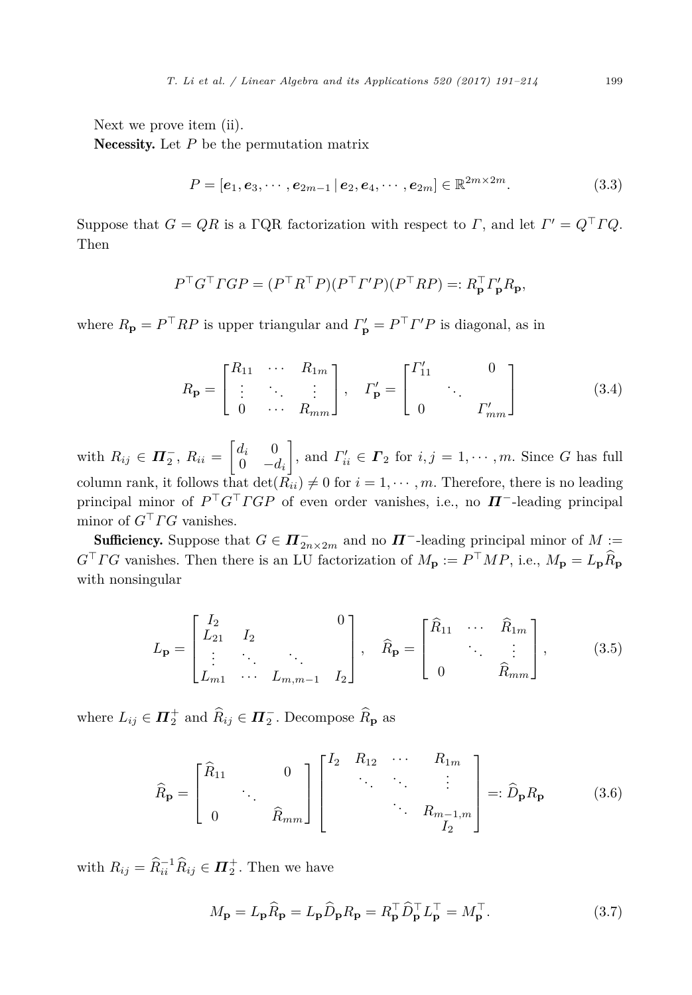<span id="page-8-0"></span>Next we prove item (ii).

Necessity. Let *P* be the permutation matrix

$$
P = [e_1, e_3, \cdots, e_{2m-1} | e_2, e_4, \cdots, e_{2m}] \in \mathbb{R}^{2m \times 2m}.
$$
 (3.3)

Suppose that  $G = QR$  is a  $\Gamma QR$  factorization with respect to  $\Gamma$ , and let  $\Gamma' = Q \Gamma T Q$ . Then

$$
P^{\top}G^{\top}TGP = (P^{\top}R^{\top}P)(P^{\top}I'P)(P^{\top}RP) =: R_{\mathbf{p}}^{\top} \Gamma_{\mathbf{p}}' R_{\mathbf{p}},
$$

where  $R_{\bf p} = P^{\dagger}RP$  is upper triangular and  $\Gamma'_{\bf p} = P^{\dagger}P'P$  is diagonal, as in

$$
R_{\mathbf{p}} = \begin{bmatrix} R_{11} & \cdots & R_{1m} \\ \vdots & \ddots & \vdots \\ 0 & \cdots & R_{mm} \end{bmatrix}, \quad \Gamma_{\mathbf{p}}' = \begin{bmatrix} \Gamma'_{11} & & 0 \\ & \ddots & \\ 0 & & \Gamma'_{mm} \end{bmatrix}
$$
(3.4)

with  $R_{ij} \in \mathbf{\Pi}_2^-$ ,  $R_{ii} =$  $\begin{bmatrix} d_i & 0 \end{bmatrix}$  $0 \quad -d_i$ 1 , and  $\Gamma'_{ii} \in \Gamma_2$  for  $i, j = 1, \dots, m$ . Since *G* has full column rank, it follows that  $\det(\overrightarrow{R}_{ii}) \neq 0$  for  $i = 1, \dots, m$ . Therefore, there is no leading principal minor of  $P^{\top}G^{\top}TGP$  of even order vanishes, i.e., no  $\boldsymbol{\Pi}^-$ -leading principal minor of  $G<sup>T</sup> \Gamma G$  vanishes.

**Sufficiency.** Suppose that  $G \in \mathbf{\Pi}_{2n \times 2m}^{-}$  and no  $\mathbf{\Pi}^{-}$ -leading principal minor of  $M :=$  $G<sup>T</sup> \Gamma G$  vanishes. Then there is an LU factorization of  $M_{\mathbf{p}} := P<sup>T</sup> \Gamma M P$ , i.e.,  $M_{\mathbf{p}} = L_{\mathbf{p}} \widehat{R}_{\mathbf{p}}$ with nonsingular

$$
L_{\mathbf{p}} = \begin{bmatrix} I_2 & 0 \\ L_{21} & I_2 \\ \vdots & \ddots & \vdots \\ L_{m1} & \cdots & L_{m,m-1} & I_2 \end{bmatrix}, \quad \widehat{R}_{\mathbf{p}} = \begin{bmatrix} \widehat{R}_{11} & \cdots & \widehat{R}_{1m} \\ & \ddots & \vdots \\ 0 & & \widehat{R}_{mm} \end{bmatrix}, \quad (3.5)
$$

where  $L_{ij} \in \mathbf{\Pi}_{2}^{+}$  and  $\widehat{R}_{ij} \in \mathbf{\Pi}_{2}^{-}$ . Decompose  $\widehat{R}_{\mathbf{p}}$  as

$$
\widehat{R}_{\mathbf{p}} = \begin{bmatrix} \widehat{R}_{11} & 0 \\ \vdots & \ddots & \vdots \\ 0 & \widehat{R}_{mm} \end{bmatrix} \begin{bmatrix} I_2 & R_{12} & \cdots & R_{1m} \\ \vdots & \ddots & \vdots \\ \vdots & \ddots & \vdots \\ 0 & \ddots & \vdots \\ \vdots & \ddots & \vdots \\ 0 & \ddots & \vdots \end{bmatrix} =: \widehat{D}_{\mathbf{p}} R_{\mathbf{p}} \tag{3.6}
$$

with  $R_{ij} = \widehat{R}_{ii}^{-1} \widehat{R}_{ij} \in \mathbf{\Pi}_{2}^{+}$ . Then we have

$$
M_{\mathbf{p}} = L_{\mathbf{p}} \widehat{R}_{\mathbf{p}} = L_{\mathbf{p}} \widehat{D}_{\mathbf{p}} R_{\mathbf{p}} = R_{\mathbf{p}}^{\top} \widehat{D}_{\mathbf{p}}^{\top} L_{\mathbf{p}}^{\top} = M_{\mathbf{p}}^{\top}.
$$
 (3.7)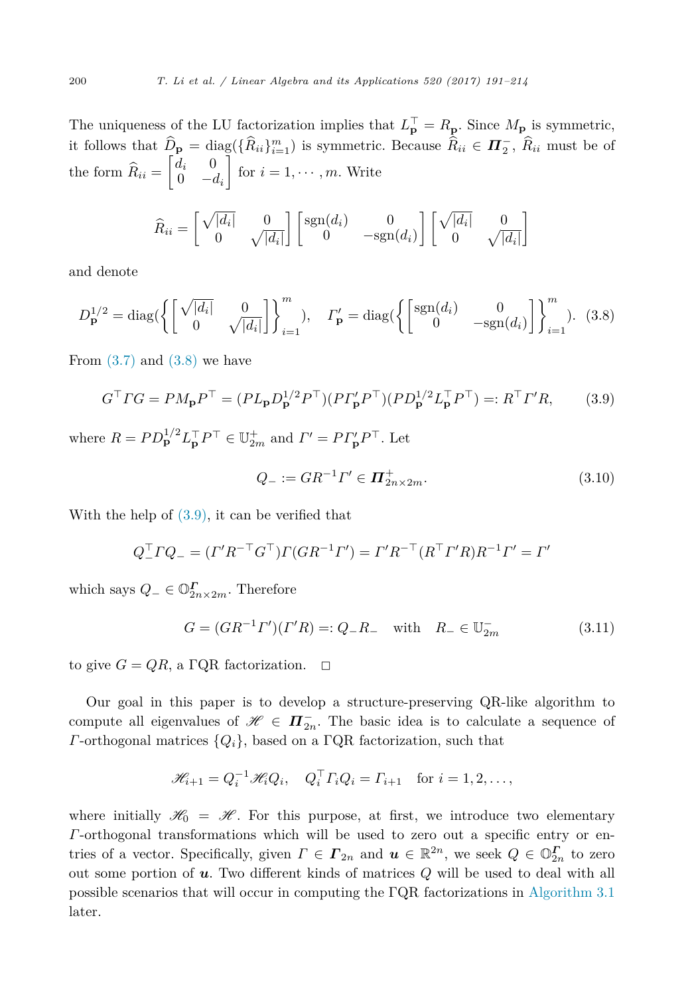The uniqueness of the LU factorization implies that  $L_{\mathbf{p}}^{\perp} = R_{\mathbf{p}}$ . Since  $M_{\mathbf{p}}$  is symmetric, it follows that  $\hat{D}_{\mathbf{p}} = \text{diag}(\{\hat{R}_{ii}\}_{i=1}^m)$  is symmetric. Because  $\hat{R}_{ii} \in \mathbf{\Pi}_2^-$ ,  $\hat{R}_{ii}$  must be of the form  $R_{ii} =$  $\begin{bmatrix} d_i & 0 \\ 0 & 0 \end{bmatrix}$  $0 \quad -d_i$ 1 for  $i = 1, \dots, m$ . Write

$$
\widehat{R}_{ii} = \begin{bmatrix} \sqrt{|d_i|} & 0 \\ 0 & \sqrt{|d_i|} \end{bmatrix} \begin{bmatrix} \text{sgn}(d_i) & 0 \\ 0 & -\text{sgn}(d_i) \end{bmatrix} \begin{bmatrix} \sqrt{|d_i|} & 0 \\ 0 & \sqrt{|d_i|} \end{bmatrix}
$$

and denote

$$
D_{\mathbf{p}}^{1/2} = \text{diag}\left(\left\{ \begin{bmatrix} \sqrt{|d_i|} & 0\\ 0 & \sqrt{|d_i|} \end{bmatrix} \right\}_{i=1}^m \right), \quad \Gamma_{\mathbf{p}}' = \text{diag}\left(\left\{ \begin{bmatrix} \text{sgn}(d_i) & 0\\ 0 & -\text{sgn}(d_i) \end{bmatrix} \right\}_{i=1}^m \right). \tag{3.8}
$$

From  $(3.7)$  and  $(3.8)$  we have

$$
G^{\top} \Gamma G = P M_{\mathbf{p}} P^{\top} = (P L_{\mathbf{p}} D_{\mathbf{p}}^{1/2} P^{\top}) (P \Gamma_{\mathbf{p}}' P^{\top}) (P D_{\mathbf{p}}^{1/2} L_{\mathbf{p}}^{\top} P^{\top}) =: R^{\top} \Gamma' R, \tag{3.9}
$$

where  $R = PD_{\mathbf{p}}^{1/2} L_{\mathbf{p}}^{\top} P^{\top} \in \mathbb{U}_{2m}^{+}$  and  $\Gamma' = PT_{\mathbf{p}}' P^{\top}$ . Let

$$
Q_- := GR^{-1} \Gamma' \in \mathbf{\Pi}^+_{2n \times 2m}.
$$
\n(3.10)

With the help of (3.9), it can be verified that

$$
Q_-^{\top} \Gamma Q_- = (\Gamma' R^{-\top} G^{\top}) \Gamma (GR^{-1} \Gamma') = \Gamma' R^{-\top} (R^{\top} \Gamma' R) R^{-1} \Gamma' = \Gamma'
$$

which says  $Q_-\in\mathbb{O}_{2n\times 2m}^{\Gamma}$ . Therefore

$$
G = (GR^{-1} \Gamma')( \Gamma' R) =: Q_{-} R_{-} \text{ with } R_{-} \in \mathbb{U}_{2m}^{-} \tag{3.11}
$$

to give  $G = QR$ , a  $\Gamma$ QR factorization.  $\Box$ 

Our goal in this paper is to develop a structure-preserving QR-like algorithm to compute all eigenvalues of  $\mathscr{H} \in \Pi_{2n}^-$ . The basic idea is to calculate a sequence of *Γ*-orthogonal matrices {*Qi*}, based on a ΓQR factorization, such that

$$
\mathscr{H}_{i+1} = Q_i^{-1} \mathscr{H}_i Q_i, \quad Q_i^\top \Gamma_i Q_i = \Gamma_{i+1} \quad \text{for } i = 1, 2, \dots,
$$

where initially  $\mathcal{H}_0 = \mathcal{H}$ . For this purpose, at first, we introduce two elementary *Γ*-orthogonal transformations which will be used to zero out a specific entry or entries of a vector. Specifically, given  $\Gamma \in \Gamma_{2n}$  and  $\mathbf{u} \in \mathbb{R}^{2n}$ , we seek  $Q \in \mathbb{O}_{2n}^{\Gamma}$  to zero out some portion of *u*. Two different kinds of matrices *Q* will be used to deal with all possible scenarios that will occur in computing the ΓQR factorizations in [Algorithm 3.1](#page-11-0) later.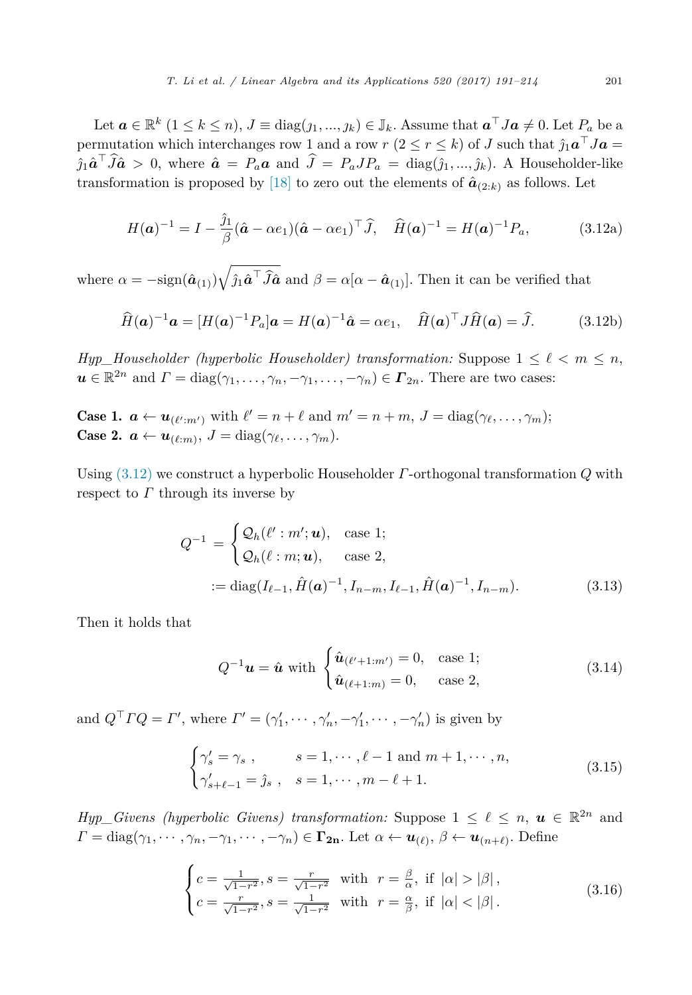<span id="page-10-0"></span>Let  $\mathbf{a} \in \mathbb{R}^k$   $(1 \leq k \leq n)$ ,  $J \equiv \text{diag}(j_1, ..., j_k) \in \mathbb{J}_k$ . Assume that  $\mathbf{a}^\top J \mathbf{a} \neq 0$ . Let  $P_a$  be a permutation which interchanges row 1 and a row *r*  $(2 \le r \le k)$  of *J* such that  $\hat{j}_1 \mathbf{a}^\top J \mathbf{a} =$  $\hat{j}_1 \hat{a}^{\dagger} J \hat{a} > 0$ , where  $\hat{a} = P_a a$  and  $J = P_a J P_a = \text{diag}(\hat{j}_1, ..., \hat{j}_k)$ . A Householder-like transformation is proposed by [\[18\]](#page-23-0) to zero out the elements of  $\hat{a}_{(2:k)}$  as follows. Let

$$
H(\mathbf{a})^{-1} = I - \frac{\hat{\jmath}_1}{\beta} (\hat{\mathbf{a}} - \alpha e_1)(\hat{\mathbf{a}} - \alpha e_1)^\top \hat{J}, \quad \hat{H}(\mathbf{a})^{-1} = H(\mathbf{a})^{-1} P_a,
$$
(3.12a)

where  $\alpha = -\text{sign}(\hat{a}_{(1)})\sqrt{\hat{j}_1\hat{a}^\top\hat{J}\hat{a}}$  and  $\beta = \alpha[\alpha - \hat{a}_{(1)}].$  Then it can be verified that

$$
\widehat{H}(\mathbf{a})^{-1}\mathbf{a} = [H(\mathbf{a})^{-1}P_a]\mathbf{a} = H(\mathbf{a})^{-1}\widehat{\mathbf{a}} = \alpha e_1, \quad \widehat{H}(\mathbf{a})^\top J \widehat{H}(\mathbf{a}) = \widehat{J}.
$$
 (3.12b)

*Hyp\_Householder* (hyperbolic *Householder*) *transformation:* Suppose  $1 \leq \ell < m \leq n$ ,  $u \in \mathbb{R}^{2n}$  and  $\Gamma = \text{diag}(\gamma_1, \dots, \gamma_n, -\gamma_1, \dots, -\gamma_n) \in \Gamma_{2n}$ . There are two cases:

Case 1.  $a \leftarrow u_{(\ell':m')}$  with  $\ell' = n + \ell$  and  $m' = n + m$ ,  $J = \text{diag}(\gamma_{\ell}, \dots, \gamma_m);$ Case 2.  $a \leftarrow u_{(\ell:m)}, J = \text{diag}(\gamma_{\ell}, \ldots, \gamma_m).$ 

Using (3.12) we construct a hyperbolic Householder *Γ*-orthogonal transformation *Q* with respect to *Γ* through its inverse by

$$
Q^{-1} = \begin{cases} \mathcal{Q}_h(\ell' : m'; \mathbf{u}), & \text{case 1;} \\ \mathcal{Q}_h(\ell : m; \mathbf{u}), & \text{case 2,} \end{cases}
$$
  
 :=  $\text{diag}(I_{\ell-1}, \hat{H}(\mathbf{a})^{-1}, I_{n-m}, I_{\ell-1}, \hat{H}(\mathbf{a})^{-1}, I_{n-m}).$  (3.13)

Then it holds that

$$
Q^{-1}u = \hat{u} \text{ with } \begin{cases} \hat{u}_{(\ell'+1:m')} = 0, & \text{case 1;}\\ \hat{u}_{(\ell+1:m)} = 0, & \text{case 2,} \end{cases}
$$
 (3.14)

and  $Q<sup>+</sup> \Gamma Q = \Gamma'$ , where  $\Gamma' = (\gamma'_1, \dots, \gamma'_n, -\gamma'_1, \dots, -\gamma'_n)$  is given by

$$
\begin{cases}\n\gamma_s' = \gamma_s, & s = 1, \dots, \ell - 1 \text{ and } m + 1, \dots, n, \\
\gamma_{s+\ell-1}' = \hat{j}_s, & s = 1, \dots, m - \ell + 1.\n\end{cases}
$$
\n(3.15)

*Hyp\_Givens* (hyperbolic *Givens*) *transformation:* Suppose  $1 \leq \ell \leq n$ ,  $u \in \mathbb{R}^{2n}$  and *Γ* = diag( $\gamma_1, \dots, \gamma_n, -\gamma_1, \dots, -\gamma_n$ ) ∈ **Γ<sub>2n</sub>**. Let  $\alpha \leftarrow \mathbf{u}_{(\ell)}, \beta \leftarrow \mathbf{u}_{(n+\ell)}$ . Define

$$
\begin{cases}\nc = \frac{1}{\sqrt{1-r^2}}, s = \frac{r}{\sqrt{1-r^2}} & \text{with } r = \frac{\beta}{\alpha}, \text{ if } |\alpha| > |\beta|, \\
c = \frac{r}{\sqrt{1-r^2}}, s = \frac{1}{\sqrt{1-r^2}} & \text{with } r = \frac{\alpha}{\beta}, \text{ if } |\alpha| < |\beta|. \n\end{cases}
$$
\n(3.16)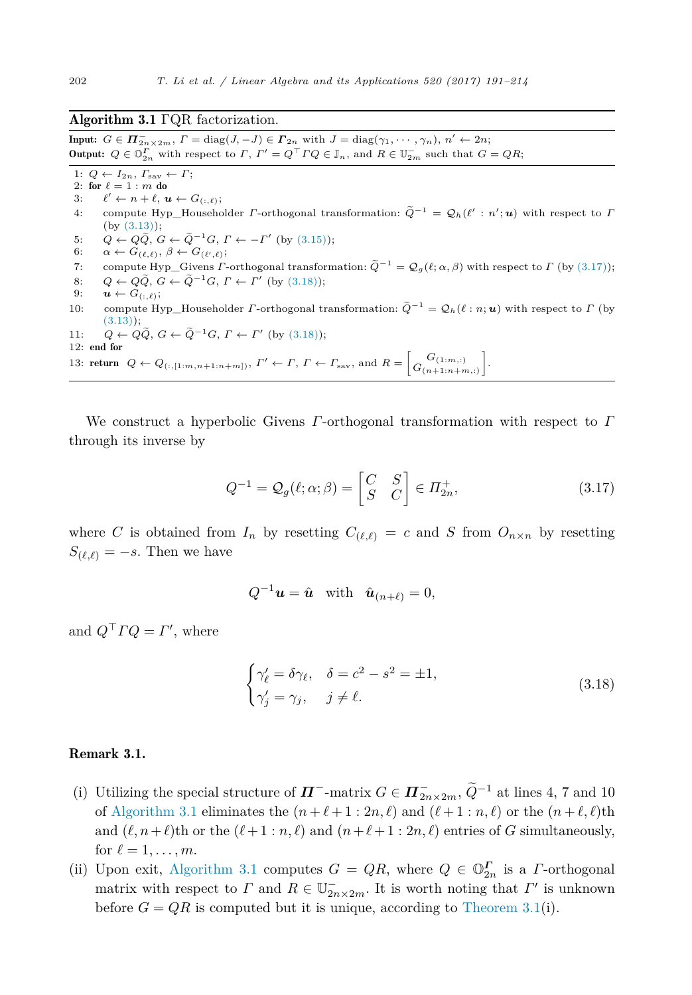#### <span id="page-11-0"></span>Algorithm 3.1 ΓQR factorization.

 $\text{Input: } G \in \mathbf{\Pi}_{2n \times 2m}^{-}, F = \text{diag}(J, -J) \in \mathbf{\Gamma}_{2n} \text{ with } J = \text{diag}(\gamma_1, \dots, \gamma_n), n' \leftarrow 2n;$ **Output:**  $Q \in \mathbb{O}_{2n}^{\Gamma}$  with respect to  $\Gamma$ ,  $\Gamma' = Q^{\top} \Gamma Q \in \mathbb{J}_n$ , and  $R \in \mathbb{U}_{2m}^-$  such that  $G = QR$ ;

1:  $Q \leftarrow I_{2n}, T_{\text{sav}} \leftarrow \Gamma;$ 2: for  $\ell = 1 : m$  do

- 3:  $\ell' \leftarrow n + \ell, \, \boldsymbol{u} \leftarrow G_{(:,\ell)};$
- 4: compute Hyp\_Householder *Γ*-orthogonal transformation:  $\tilde{Q}^{-1} = Q_h(\ell' : n'; \boldsymbol{u})$  with respect to *Γ* (by [\(3.13\)\)](#page-10-0);
- 5:  $Q \leftarrow Q\bar{Q}, G \leftarrow \bar{Q}^{-1}G, \Gamma \leftarrow -\Gamma' \text{ (by (3.15))};$  $Q \leftarrow Q\bar{Q}, G \leftarrow \bar{Q}^{-1}G, \Gamma \leftarrow -\Gamma' \text{ (by (3.15))};$  $Q \leftarrow Q\bar{Q}, G \leftarrow \bar{Q}^{-1}G, \Gamma \leftarrow -\Gamma' \text{ (by (3.15))};$
- $6: \alpha \leftarrow G_{(\ell,\ell)}, \beta \leftarrow G_{(\ell',\ell)};$
- 7: compute Hyp\_Givens *Γ*-orthogonal transformation:  $\tilde{Q}^{-1} = Q_g(\ell; \alpha, \beta)$  with respect to *Γ* (by (3.17));<br>8:  $Q \leftarrow \tilde{Q} \tilde{Q} \leftarrow \tilde{Q}^{-1} \tilde{Q} \Gamma \leftarrow \Gamma'$  (by (3.18)).
- 8:  $Q \leftarrow Q\tilde{Q}, G \leftarrow \tilde{Q}^{-1}G, \Gamma \leftarrow \Gamma' \text{ (by (3.18))};$
- 9:  $\boldsymbol{u} \leftarrow G_{(:,\ell)}$ ;
- 10: compute Hyp—Householder *Γ*-orthogonal transformation:  $\tilde{Q}^{-1} = Q_h(\ell : n; \boldsymbol{u})$  with respect to *Γ* (by  $(3.13)$ ;

11: 
$$
Q \leftarrow Q\tilde{Q}
$$
,  $G \leftarrow \tilde{Q}^{-1}G$ ,  $\Gamma \leftarrow \Gamma'$  (by (3.18));  
12: end for

13: **return**  $Q \leftarrow Q_{(:,[1:m,n+1:n+m])},$   $\Gamma' \leftarrow \Gamma, \Gamma \leftarrow \Gamma_{\text{sav}},$  and  $R = \begin{bmatrix} G_{(1:m,:)} \\ G_{(n+1:n+m,:)} \end{bmatrix}$ .

We construct a hyperbolic Givens *Γ*-orthogonal transformation with respect to *Γ* through its inverse by

$$
Q^{-1} = \mathcal{Q}_g(\ell; \alpha; \beta) = \begin{bmatrix} C & S \\ S & C \end{bmatrix} \in \Pi_{2n}^+, \tag{3.17}
$$

where *C* is obtained from  $I_n$  by resetting  $C_{(\ell,\ell)} = c$  and *S* from  $O_{n \times n}$  by resetting  $S_{(\ell,\ell)} = -s$ . Then we have

$$
Q^{-1}\boldsymbol{u} = \hat{\boldsymbol{u}} \quad \text{with} \quad \hat{\boldsymbol{u}}_{(n+\ell)} = 0,
$$

and  $Q<sup>T</sup> \Gamma Q = \Gamma'$ , where

$$
\begin{cases} \gamma'_{\ell} = \delta \gamma_{\ell}, & \delta = c^2 - s^2 = \pm 1, \\ \gamma'_{j} = \gamma_{j}, & j \neq \ell. \end{cases}
$$
 (3.18)

# Remark 3.1.

- (i) Utilizing the special structure of  $\Pi^-$ -matrix  $G \in \Pi^-_{2n \times 2m}$ ,  $\tilde{Q}^{-1}$  at lines 4, 7 and 10 of Algorithm 3.1 eliminates the  $(n + \ell + 1 : 2n, \ell)$  and  $(\ell + 1 : n, \ell)$  or the  $(n + \ell, \ell)$ th and  $(\ell, n+\ell)$ th or the  $(\ell+1:n,\ell)$  and  $(n+\ell+1:2n,\ell)$  entries of *G* simultaneously, for  $\ell = 1, \ldots, m$ .
- (ii) Upon exit, Algorithm 3.1 computes  $G = QR$ , where  $Q \in \mathbb{O}_{2n}^{\Gamma}$  is a *Γ*-orthogonal matrix with respect to *Γ* and  $R \in \mathbb{U}_{2n \times 2m}^-$ . It is worth noting that  $\Gamma'$  is unknown before  $G = QR$  is computed but it is unique, according to [Theorem 3.1\(](#page-7-0)i).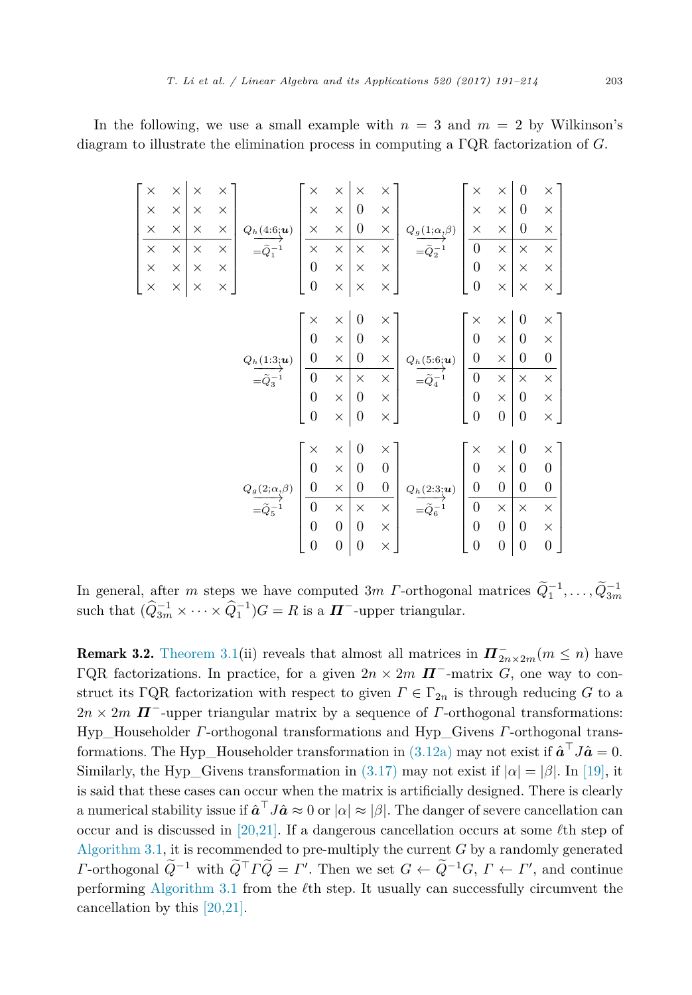In the following, we use a small example with  $n = 3$  and  $m = 2$  by Wilkinson's diagram to illustrate the elimination process in computing a ΓQR factorization of *G*.

> $\sqrt{ }$  $\overline{\phantom{a}}$  $\blacksquare$  $\overline{\phantom{a}}$  $\overline{\phantom{a}}$

| $\times$ | X                              | $\times$                 | $\times$         |                     | $\times$         | $\times$                    | $\times$         | $\times$           |                        | $\times$         | $\times$           | $\overline{0}$   | $\times$         |  |
|----------|--------------------------------|--------------------------|------------------|---------------------|------------------|-----------------------------|------------------|--------------------|------------------------|------------------|--------------------|------------------|------------------|--|
| $\times$ | $\times$                       | $\times$                 | $\times$         |                     | $\times$         | $\times$                    | $\boldsymbol{0}$ | $\times$           | $Q_g(1;\alpha_,\beta)$ | $\times$         | $\times$           | $\overline{0}$   | $\times$         |  |
| $\times$ | $\times$                       | $\times$                 | $\times$         | $Q_h(4:6;u)$        | $\times$         | $\times$                    | $\boldsymbol{0}$ | $\times$           |                        | $\times$         | $\times$           | $\boldsymbol{0}$ | $\times$         |  |
| $\times$ | $\times$                       | $\times$                 | $\times$         |                     | $\times$         | $\times$                    | $\times$         | $\times$           |                        | $\overline{0}$   | $\times$           | $\times$         | $\times$         |  |
| $\times$ | $\times$                       | $\times$                 | $\times$         |                     | $\overline{0}$   | $\times$                    | $\times$         | $\times$           |                        | $\boldsymbol{0}$ | $\times$           | $\times$         | $\times$         |  |
| $\times$ | $\times$                       | $\times$                 | $\times$         |                     | $\overline{0}$   | $\times$                    | $\times$         | $\times$           |                        | $\overline{0}$   | $\times$           | $\times$         | $\times$         |  |
|          |                                |                          |                  |                     |                  |                             |                  |                    |                        |                  |                    |                  |                  |  |
|          |                                |                          |                  |                     | $\times$         | $\times$                    | $\boldsymbol{0}$ | $\times$           |                        | $\times$         | $\times$           | $\boldsymbol{0}$ | $\times$         |  |
|          |                                |                          |                  |                     | $\overline{0}$   | $\times$                    | $\boldsymbol{0}$ | $\times$           |                        | $\overline{0}$   | $\times$           | $\boldsymbol{0}$ | $\times$         |  |
|          |                                | $Q_h(1\!\!:\!\!3;\!\!u)$ | $\boldsymbol{0}$ | $\times$            | $\boldsymbol{0}$ | $\times$                    | $Q_h(5:6;u)$     | $\overline{0}$     | $\times$               | $\boldsymbol{0}$ | $\frac{0}{\times}$ |                  |                  |  |
|          |                                |                          |                  | $= 0^{\frac{1}{2}}$ | $\overline{0}$   | $\times$                    | $\times$         | $\times$           | $=\!\tilde{Q}_4^{-1}$  | $\overline{0}$   | $\times$           | $\times$         |                  |  |
|          |                                |                          |                  |                     | $\overline{0}$   | $\times$                    | $\boldsymbol{0}$ | $\times$           |                        | $\boldsymbol{0}$ | $\times$           | $\boldsymbol{0}$ | $\times$         |  |
|          |                                |                          |                  |                     | $\boldsymbol{0}$ | $\times$                    | $\boldsymbol{0}$ | $\times$           |                        | $\boldsymbol{0}$ | $\overline{0}$     | $\boldsymbol{0}$ | $\times$         |  |
|          |                                |                          |                  |                     |                  |                             |                  |                    |                        |                  |                    |                  |                  |  |
|          |                                |                          |                  |                     | $\times$         | $\times$                    | $\overline{0}$   | $\times$           |                        | $\times$         | $\times$           | $\boldsymbol{0}$ | $\times$         |  |
|          |                                |                          |                  |                     | $\overline{0}$   | $\times$                    | $\boldsymbol{0}$ | $\boldsymbol{0}$   |                        | $\overline{0}$   | $\times$           | $\boldsymbol{0}$ | $\boldsymbol{0}$ |  |
|          | $Q_g(\textbf{2};\alpha,\beta)$ | $\boldsymbol{0}$         | $\times$         | $\boldsymbol{0}$    | $\boldsymbol{0}$ | $Q_h(2:3; {\boldsymbol u})$ | $\boldsymbol{0}$ | $\boldsymbol{0}$   | $\boldsymbol{0}$       | $\boldsymbol{0}$ |                    |                  |                  |  |
|          |                                | $= 2\tilde{Q}_5^{-1}$    |                  | $\overline{0}$      | $\times$         | $\times$                    | $\times$         | $=\!\tilde{Q}_6^-$ | $\overline{0}$         | $\times$         | ×                  | $\times$         |                  |  |
|          |                                | $\overline{0}$           | $\boldsymbol{0}$ | $\boldsymbol{0}$    | $\times$         |                             | $\boldsymbol{0}$ | $\boldsymbol{0}$   | $\boldsymbol{0}$       | $\times$         |                    |                  |                  |  |
|          |                                |                          |                  |                     | $\overline{0}$   | $\overline{0}$              | $\overline{0}$   | ×                  |                        | $\overline{0}$   | $\overline{0}$     | $\boldsymbol{0}$ | $\boldsymbol{0}$ |  |

In general, after *m* steps we have computed  $3m$  *Γ*-orthogonal matrices  $\widetilde{Q}_1^{-1}, \ldots, \widetilde{Q}_{3m}^{-1}$ <br>such that  $(\widehat{Q}_{3m}^{-1} \times \cdots \times \widehat{Q}_1^{-1})G = R$  is a  $\boldsymbol{\Pi}^-$ -upper triangular.

**Remark 3.2.** [Theorem 3.1\(](#page-7-0)ii) reveals that almost all matrices in  $\Pi_{2n \times 2m}^{-}(m \leq n)$  have ΓQR factorizations. In practice, for a given  $2n \times 2m$  **Π**<sup>-</sup>-matrix *G*, one way to construct its ΓQR factorization with respect to given  $\Gamma \in \Gamma_{2n}$  is through reducing *G* to a  $2n \times 2m$  **Π**<sup>−</sup>-upper triangular matrix by a sequence of *Γ*-orthogonal transformations: Hyp\_Householder *Γ*-orthogonal transformations and Hyp\_Givens *Γ*-orthogonal transformations. The Hyp\_Householder transformation in  $(3.12a)$  may not exist if  $\hat{a}^{\top} J \hat{a} = 0$ . Similarly, the Hyp—Givens transformation in [\(3.17\)](#page-11-0) may not exist if  $|\alpha| = |\beta|$ . In [\[19\],](#page-23-0) it is said that these cases can occur when the matrix is artificially designed. There is clearly a numerical stability issue if  $\hat{a}^\top J \hat{a} \approx 0$  or  $|\alpha| \approx |\beta|$ . The danger of severe cancellation can occur and is discussed in [\[20,21\].](#page-23-0) If a dangerous cancellation occurs at some  $\ell$ th step of [Algorithm 3.1,](#page-11-0) it is recommended to pre-multiply the current  $G$  by a randomly generated *Γ*-orthogonal  $\tilde{Q}^{-1}$  with  $\tilde{Q}^{\top} \tilde{\Gamma} \tilde{Q} = \Gamma'$ . Then we set  $G \leftarrow \tilde{Q}^{-1} G$ ,  $\Gamma \leftarrow \Gamma'$ , and continue performing [Algorithm 3.1](#page-11-0) from the  $\ell$ th step. It usually can successfully circumvent the cancellation by this [\[20,21\].](#page-23-0)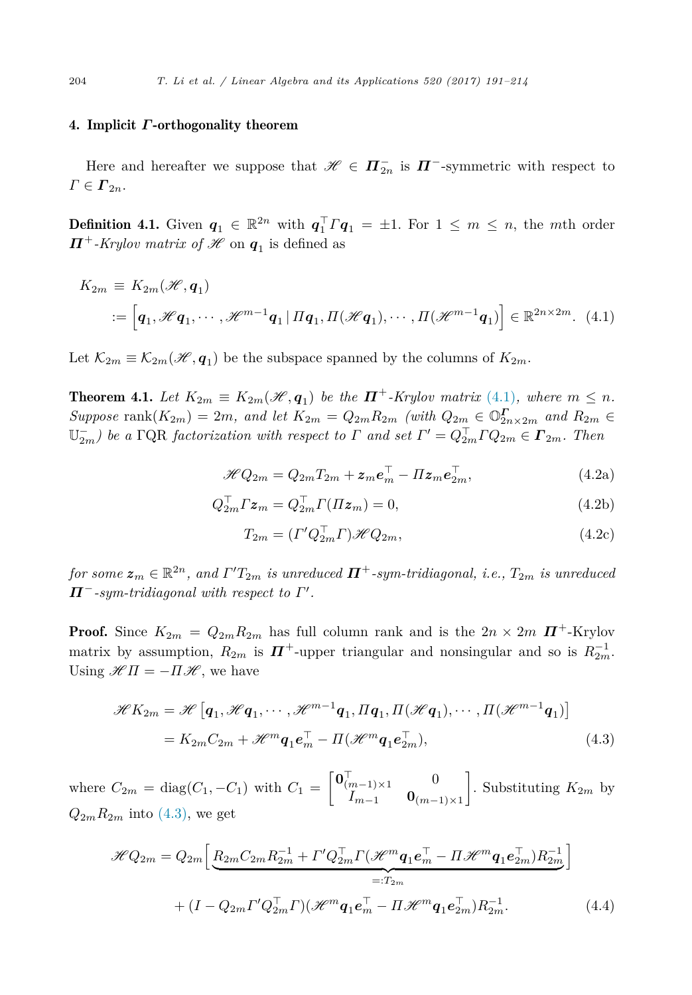#### <span id="page-13-0"></span>4. Implicit *Γ*-orthogonality theorem

Here and hereafter we suppose that  $\mathscr{H} \in \Pi_{2n}^-$  is  $\Pi^-$ -symmetric with respect to  $\Gamma \in \Gamma_{2n}$ .

**Definition 4.1.** Given  $q_1 \in \mathbb{R}^{2n}$  with  $q_1^T T q_1 = \pm 1$ . For  $1 \leq m \leq n$ , the *m*th order *Π*<sup>+</sup>-*Krylov matrix of*  $H$  on  $q_1$  is defined as

$$
K_{2m} \equiv K_{2m}(\mathcal{H}, \mathbf{q}_1)
$$
  
 :=  $\left[\mathbf{q}_1, \mathcal{H}\mathbf{q}_1, \cdots, \mathcal{H}^{m-1}\mathbf{q}_1 | \Pi \mathbf{q}_1, \Pi(\mathcal{H}\mathbf{q}_1), \cdots, \Pi(\mathcal{H}^{m-1}\mathbf{q}_1)\right] \in \mathbb{R}^{2n \times 2m}$ . (4.1)

Let  $\mathcal{K}_{2m} \equiv \mathcal{K}_{2m}(\mathcal{H}, \mathbf{q}_1)$  be the subspace spanned by the columns of  $K_{2m}$ .

**Theorem 4.1.** Let  $K_{2m} \equiv K_{2m}(\mathcal{H}, \mathbf{q}_1)$  be the  $\mathbf{\Pi}^+$ -Krylov matrix (4.1), where  $m \leq n$ . Suppose rank $(K_{2m}) = 2m$ , and let  $K_{2m} = Q_{2m}R_{2m}$  (with  $Q_{2m} \in \mathbb{O}_{2n \times 2m}^{\mathbb{F}}$  and  $R_{2m} \in \mathbb{O}_{2n \times 2m}$  $\mathbb{U}_{2m}^-$ ) be a  $\Gamma$ QR *factorization* with respect to  $\Gamma$  and set  $\Gamma' = Q_{2m}^\top \Gamma Q_{2m} \in \mathbf{\Gamma}_{2m}$ . Then

$$
\mathcal{H}Q_{2m} = Q_{2m}T_{2m} + \boldsymbol{z}_m \boldsymbol{e}_m^\top - \Pi \boldsymbol{z}_m \boldsymbol{e}_{2m}^\top,\tag{4.2a}
$$

$$
Q_{2m}^{\top} \Gamma \mathbf{z}_m = Q_{2m}^{\top} \Gamma(\Pi \mathbf{z}_m) = 0, \tag{4.2b}
$$

$$
T_{2m} = (\Gamma' Q_{2m}^\top \Gamma) \mathcal{H} Q_{2m},\tag{4.2c}
$$

 $for~some~\mathbf{z}_m \in \mathbb{R}^{2n}$ , and  $\mathit{\Gamma'T_{2m}}$  is unreduced  $\boldsymbol{\Pi^+}\text{-}sym\text{-}tridiagonal,$  i.e.,  $T_{2m}$  is unreduced  $\Pi^-$ *-sym-tridiagonal with respect to*  $\Gamma'.$ 

**Proof.** Since  $K_{2m} = Q_{2m}R_{2m}$  has full column rank and is the  $2n \times 2m$   $\mathbf{\Pi}^+$ -Krylov matrix by assumption,  $R_{2m}$  is  $\boldsymbol{\Pi}^+$ -upper triangular and nonsingular and so is  $R_{2m}^{-1}$ . Using  $\mathscr{H}\Pi = -\Pi \mathscr{H}$ , we have

$$
\mathcal{H}K_{2m} = \mathcal{H}\left[\mathbf{q}_1, \mathcal{H}\mathbf{q}_1, \cdots, \mathcal{H}^{m-1}\mathbf{q}_1, \Pi\mathbf{q}_1, \Pi(\mathcal{H}\mathbf{q}_1), \cdots, \Pi(\mathcal{H}^{m-1}\mathbf{q}_1)\right]
$$

$$
= K_{2m}C_{2m} + \mathcal{H}^m\mathbf{q}_1\mathbf{e}_m^{\top} - \Pi(\mathcal{H}^m\mathbf{q}_1\mathbf{e}_2^{\top}), \tag{4.3}
$$

where  $C_{2m} = \text{diag}(C_1, -C_1)$  with  $C_1 =$  $\begin{bmatrix} \mathbf{0}_{(m-1)\times 1}^{\top} & 0 \\ 0 & 0 & 0 \end{bmatrix}$ *I<sup>m</sup>*−<sup>1</sup> **0**(*m*−1)×<sup>1</sup> 1 . Substituting  $K_{2m}$  by  $Q_{2m}R_{2m}$  into (4.3), we get

$$
\mathcal{H}Q_{2m} = Q_{2m} \left[ \underbrace{R_{2m}C_{2m}R_{2m}^{-1} + \Gamma'Q_{2m}^{\top}\Gamma(\mathcal{H}^m\mathbf{q}_1\mathbf{e}_m^{\top} - \Pi\mathcal{H}^m\mathbf{q}_1\mathbf{e}_{2m}^{\top})R_{2m}^{-1}}_{=:T_{2m}} \right]
$$
  
+ 
$$
(I - Q_{2m}\Gamma'Q_{2m}^{\top}\Gamma)(\mathcal{H}^m\mathbf{q}_1\mathbf{e}_m^{\top} - \Pi\mathcal{H}^m\mathbf{q}_1\mathbf{e}_{2m}^{\top})R_{2m}^{-1}.
$$
 (4.4)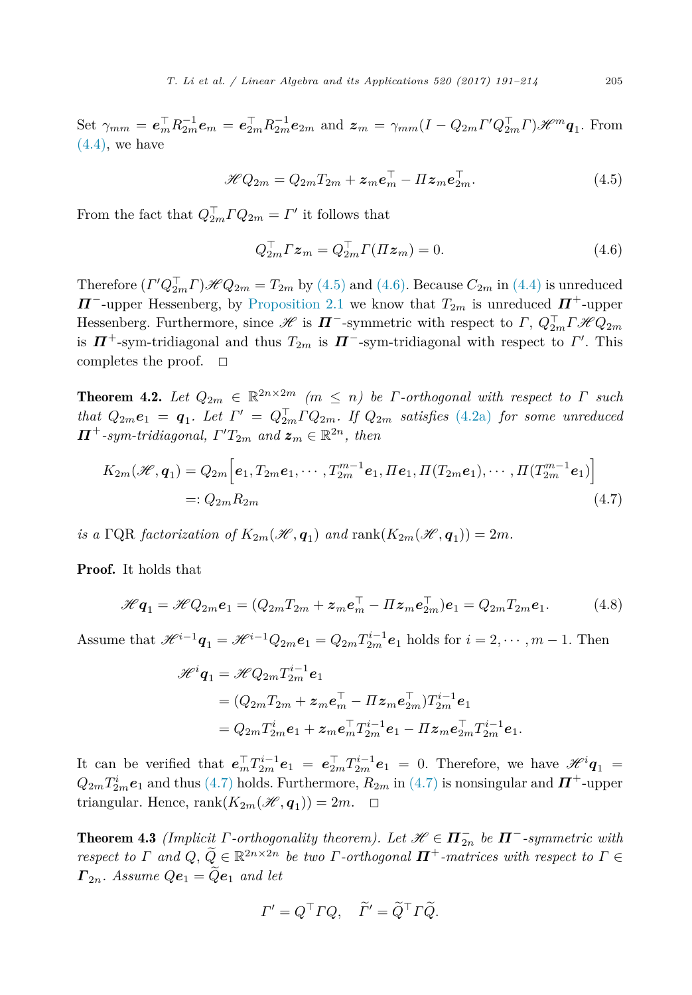<span id="page-14-0"></span>Set  $\gamma_{mm} = e_m^{\top} R_{2m}^{-1} e_m = e_{2m}^{\top} R_{2m}^{-1} e_{2m}$  and  $z_m = \gamma_{mm} (I - Q_{2m} \Gamma' Q_{2m}^{\top} \Gamma) \mathcal{H}^m \mathbf{q}_1$ . From  $(4.4)$ , we have

$$
\mathcal{H}Q_{2m} = Q_{2m}T_{2m} + \boldsymbol{z}_m \boldsymbol{e}_m^{\top} - \boldsymbol{\Pi} \boldsymbol{z}_m \boldsymbol{e}_{2m}^{\top}.
$$
 (4.5)

From the fact that  $Q_{2m}^{\dagger} \Gamma Q_{2m} = \Gamma'$  it follows that

$$
Q_{2m}^{\top} \Gamma \mathbf{z}_m = Q_{2m}^{\top} \Gamma(\Pi \mathbf{z}_m) = 0. \tag{4.6}
$$

Therefore  $(\Gamma' Q_{2m}^{\perp} \Gamma) \mathcal{H} Q_{2m} = T_{2m}$  by (4.5) and (4.6). Because  $C_{2m}$  in [\(4.4\)](#page-13-0) is unreduced *Π*<sup>−</sup>-upper Hessenberg, by [Proposition 2.1](#page-5-0) we know that  $T_{2m}$  is unreduced  $\boldsymbol{\Pi}^+$ -upper Hessenberg. Furthermore, since  $H$  is  $I$ **Γ** -symmetric with respect to Γ,  $Q_{2m}^{\perp}T\mathcal{H}Q_{2m}$ is  $\Pi$ <sup>+</sup>-sym-tridiagonal and thus  $T_{2m}$  is  $\Pi$ <sup>-</sup>-sym-tridiagonal with respect to  $\Gamma'$ . This completes the proof.  $\square$ 

**Theorem 4.2.** Let  $Q_{2m} \in \mathbb{R}^{2n \times 2m}$   $(m \leq n)$  be *Γ*-orthogonal with respect to *Γ* such *that*  $Q_{2m}e_1 = q_1$ *. Let*  $\Gamma' = Q_{2m}^{\perp}\Gamma Q_{2m}$ *. If*  $Q_{2m}$  *satisfies* [\(4.2a\)](#page-13-0) *for some unreduced*  $\Pi^+$ -sym-tridiagonal,  $\Gamma' T_{2m}$  and  $\boldsymbol{z}_m \in \mathbb{R}^{2n}$ , then

$$
K_{2m}(\mathcal{H}, \mathbf{q}_1) = Q_{2m} \Big[ \mathbf{e}_1, T_{2m} \mathbf{e}_1, \cdots, T_{2m}^{m-1} \mathbf{e}_1, \Pi \mathbf{e}_1, \Pi (T_{2m} \mathbf{e}_1), \cdots, \Pi (T_{2m}^{m-1} \mathbf{e}_1) \Big]
$$
  
=:  $Q_{2m} R_{2m}$  (4.7)

*is* a  $\Gamma$ QR *factorization* of  $K_{2m}(\mathcal{H}, \mathbf{q}_1)$  and  $\text{rank}(K_{2m}(\mathcal{H}, \mathbf{q}_1)) = 2m$ .

Proof. It holds that

$$
\mathcal{H}\boldsymbol{q}_1 = \mathcal{H}Q_{2m}\boldsymbol{e}_1 = (Q_{2m}T_{2m} + \boldsymbol{z}_m\boldsymbol{e}_m^\top - \Pi\boldsymbol{z}_m\boldsymbol{e}_{2m}^\top)\boldsymbol{e}_1 = Q_{2m}T_{2m}\boldsymbol{e}_1. \tag{4.8}
$$

Assume that  $\mathscr{H}^{i-1}\mathbf{q}_1 = \mathscr{H}^{i-1}Q_{2m}\mathbf{e}_1 = Q_{2m}T_{2m}^{i-1}\mathbf{e}_1$  holds for  $i = 2, \cdots, m-1$ . Then

$$
\begin{aligned} \mathscr{H}^{i}\bm{q}_{1} &= \mathscr{H} Q_{2m}T_{2m}^{i-1}\bm{e}_{1} \\ &= (Q_{2m}T_{2m} + \bm{z}_{m}\bm{e}_{m}^{\top} - \varPi\bm{z}_{m}\bm{e}_{2m}^{\top})T_{2m}^{i-1}\bm{e}_{1} \\ &= Q_{2m}T_{2m}^{i}\bm{e}_{1} + \bm{z}_{m}\bm{e}_{m}^{\top}T_{2m}^{i-1}\bm{e}_{1} - \varPi\bm{z}_{m}\bm{e}_{2m}^{\top}T_{2m}^{i-1}\bm{e}_{1} . \end{aligned}
$$

It can be verified that  $e_m^T T_{2m}^{i-1} e_1 = e_{2m}^T T_{2m}^{i-1} e_1 = 0$ . Therefore, we have  $\mathscr{H}^i q_1 =$  $Q_{2m}T_{2m}^i$  $e_1$  and thus (4.7) holds. Furthermore,  $R_{2m}$  in (4.7) is nonsingular and  $\boldsymbol{\Pi}^{+}$ -upper triangular. Hence, rank $(K_{2m}(\mathscr{H}, \mathbf{q}_1)) = 2m$ .  $\Box$ 

**Theorem 4.3** *(Implicit*  $\Gamma$ *-orthogonality theorem). Let*  $\mathscr{H} \in \mathbf{\Pi}_{2n}^-$  *be*  $\mathbf{\Pi}^-$ -symmetric with *respect to Γ and*  $Q, \tilde{Q} \in \mathbb{R}^{2n \times 2n}$  *be two Γ-orthogonal*  $\mathbf{\Pi}^+$ *-matrices with respect to*  $\Gamma \in$  $\Gamma_{2n}$ *. Assume*  $Qe_1 = \widetilde{Q}e_1$  *and let* 

$$
\Gamma' = Q^{\top} \Gamma Q, \quad \widetilde{\Gamma}' = \widetilde{Q}^{\top} \Gamma \widetilde{Q}.
$$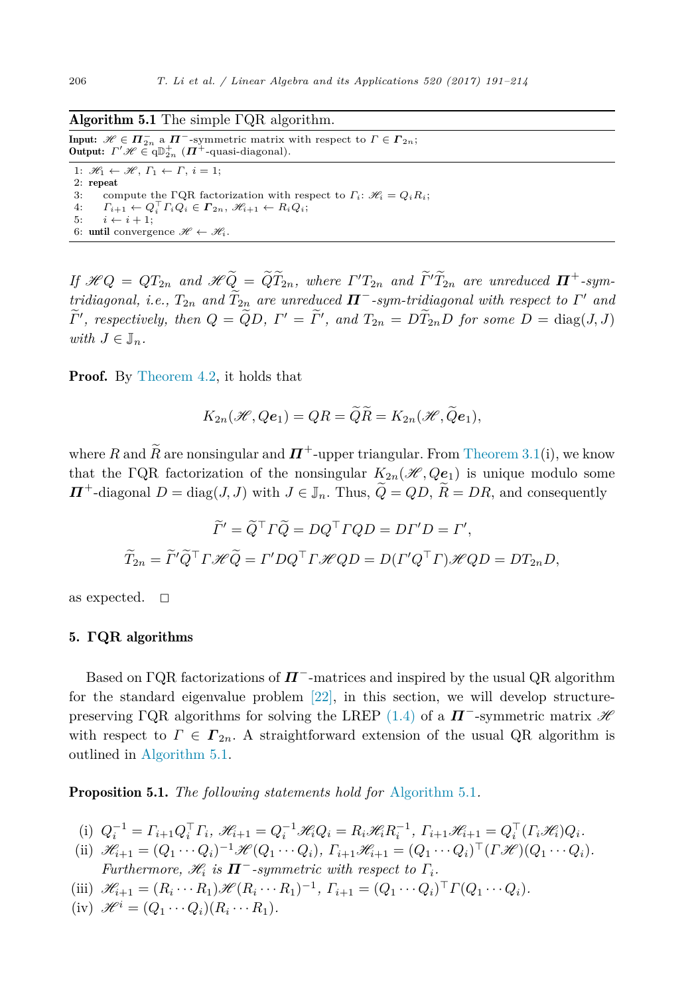#### <span id="page-15-0"></span>Algorithm 5.1 The simple ΓQR algorithm.

Input:  $\mathscr{H} \in \Pi_{2n}^-$  a  $\Pi^{-}$ -symmetric matrix with respect to  $\Gamma \in \Gamma_{2n}$ ; **Output:**  $\Gamma' \mathcal{H} \in \mathrm{qD}_{2n}^{+}$  ( $\Pi^{+}$ -quasi-diagonal). 1:  $\mathcal{H}_1 \leftarrow \mathcal{H}, \Gamma_1 \leftarrow \Gamma, i = 1;$ 2: repeat 3: compute the ΓQR factorization with respect to  $\Gamma_i$ :  $\mathcal{H}_i = Q_i R_i$ ;  $F_i$ <sub> $i+1$ </sub>  $\leftarrow Q_i$ <sup> $\Gamma_i Q_i \in \Gamma_{2n}, \mathscr{H}_{i+1} \leftarrow R_i Q_i;$ </sup> 5:  $i \leftarrow i + 1;$ 6: until convergence  $\mathscr{H} \leftarrow \mathscr{H}_i$ .

If  $\mathcal{H}Q = QT_{2n}$  and  $\mathcal{H}\widetilde{Q} = \widetilde{QT}_{2n}$ , where  $\Gamma'T_{2n}$  and  $\widetilde{\Gamma'T}_{2n}$  are unreduced  $\Pi^+$ -sym*tridiagonal, i.e., T*2*<sup>n</sup> and T*2*<sup>n</sup> are unreduced Π*−*-sym-tridiagonal with respect to Γ*- *and*  $\Gamma'$ , respectively, then  $Q = QD$ ,  $\Gamma' = \Gamma'$ , and  $T_{2n} = DT_{2n}D$  for some  $D = \text{diag}(J, J)$ *with*  $J \in \mathbb{J}_n$ .

**Proof.** By [Theorem 4.2,](#page-14-0) it holds that

$$
K_{2n}(\mathscr{H},Q\mathbf{e}_1)=QR=\widetilde{Q}\widetilde{R}=K_{2n}(\mathscr{H},\widetilde{Q}\mathbf{e}_1),
$$

where *R* and  $\bar{R}$  are nonsingular and  $\bar{H}^+$ -upper triangular. From [Theorem 3.1\(](#page-7-0)i), we know that the ΓQR factorization of the nonsingular  $K_{2n}(\mathcal{H}, Qe_1)$  is unique modulo some  $\Pi$ <sup>+</sup>-diagonal *D* = diag(*J, J*) with *J* ∈ *J<sub>n</sub>*. Thus,  $\widetilde{Q} = QD$ ,  $\widetilde{R} = DR$ , and consequently

$$
\widetilde{\Gamma}' = \widetilde{Q}^{\top} \Gamma \widetilde{Q} = DQ^{\top} \Gamma Q D = D\Gamma' D = \Gamma',
$$
  

$$
\widetilde{T}_{2n} = \widetilde{\Gamma}' \widetilde{Q}^{\top} \Gamma \mathcal{H} \widetilde{Q} = \Gamma' DQ^{\top} \Gamma \mathcal{H} Q D = D(\Gamma' Q^{\top} \Gamma) \mathcal{H} Q D = D T_{2n} D,
$$

as expected.  $\square$ 

#### 5. **ΓQR** algorithms

Based on ΓQR factorizations of *Π*−-matrices and inspired by the usual QR algorithm for the standard eigenvalue problem [\[22\],](#page-23-0) in this section, we will develop structure-preserving ΓQR algorithms for solving the LREP [\(1.4\)](#page-1-0) of a  $\boldsymbol{\Pi}^-$ -symmetric matrix  $\mathscr H$ with respect to  $\Gamma \in \Gamma_{2n}$ . A straightforward extension of the usual QR algorithm is outlined in Algorithm 5.1.

Proposition 5.1. *The following statements hold for* Algorithm 5.1*.*

- (i)  $Q_i^{-1} = \Gamma_{i+1} Q_i^{\top} \Gamma_i$ ,  $\mathcal{H}_{i+1} = Q_i^{-1} \mathcal{H}_i Q_i = R_i \mathcal{H}_i R_i^{-1}$ ,  $\Gamma_{i+1} \mathcal{H}_{i+1} = Q_i^{\top} (\Gamma_i \mathcal{H}_i) Q_i$ .
- (ii)  $\mathscr{H}_{i+1} = (Q_1 \cdots Q_i)^{-1} \mathscr{H}(Q_1 \cdots Q_i), \ \Gamma_{i+1} \mathscr{H}_{i+1} = (Q_1 \cdots Q_i)^\top (\Gamma \mathscr{H})(Q_1 \cdots Q_i).$ *Furthermore,*  $\mathcal{H}_i$  *is*  $\Pi^-$ -symmetric with respect to  $\Gamma_i$ .
- (iii)  $\mathscr{H}_{i+1} = (R_i \cdots R_1) \mathscr{H} (R_i \cdots R_1)^{-1}, \Gamma_{i+1} = (Q_1 \cdots Q_i)^\top \Gamma (Q_1 \cdots Q_i).$
- $(i\mathbf{v})$   $\mathscr{H}^i = (Q_1 \cdots Q_i)(R_i \cdots R_1).$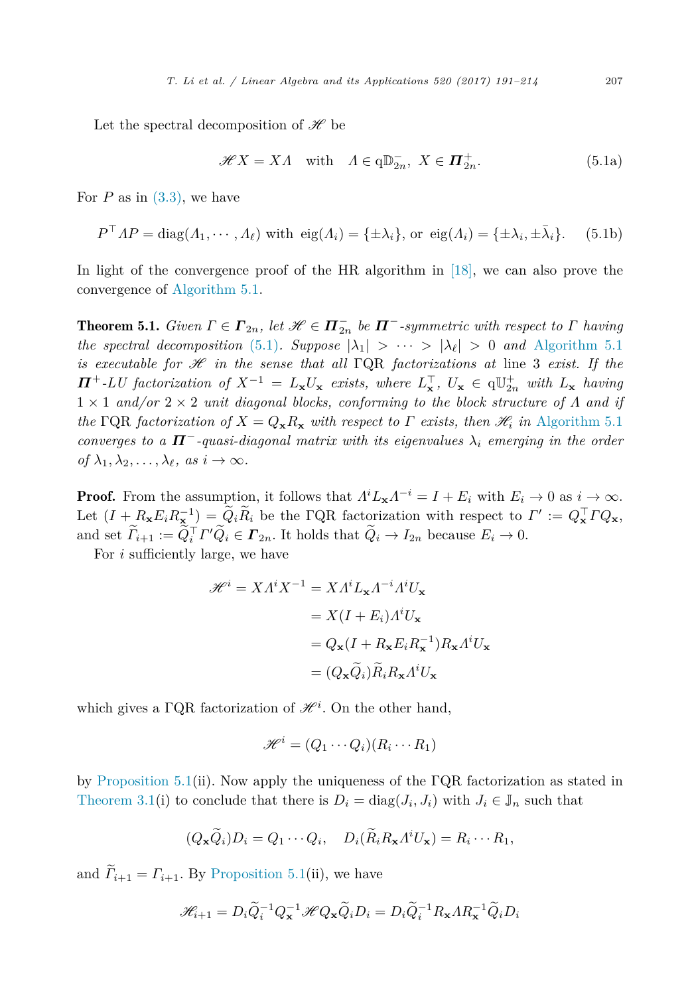Let the spectral decomposition of  $\mathscr H$  be

$$
\mathcal{H}X = X\Lambda \quad \text{with} \quad \Lambda \in \mathbf{q} \mathbb{D}_{2n}^-, \ X \in \mathbf{\Pi}_{2n}^+.
$$
 (5.1a)

For  $P$  as in  $(3.3)$ , we have

$$
P^{\top}AP = \text{diag}(A_1, \cdots, A_\ell) \text{ with } \text{eig}(A_i) = \{\pm \lambda_i\}, \text{ or } \text{eig}(A_i) = \{\pm \lambda_i, \pm \bar{\lambda}_i\}. \tag{5.1b}
$$

In light of the convergence proof of the HR algorithm in [\[18\],](#page-23-0) we can also prove the convergence of [Algorithm 5.1.](#page-15-0)

**Theorem 5.1.** *Given*  $\Gamma \in \Gamma_{2n}$ *, let*  $\mathcal{H} \in \Pi_{2n}^-$  *be*  $\Pi^-$ *-symmetric with respect to*  $\Gamma$  *having the* spectral decomposition (5.1)*. Suppose*  $|\lambda_1| > \cdots > |\lambda_\ell| > 0$  and [Algorithm 5.1](#page-15-0) *is* executable for  $\mathscr H$  *in the sense that all* ΓQR *factorizations at* line 3 *exist.* If the  $\Pi^+$ -LU factorization of  $X^{-1} = L_{\mathbf{x}} U_{\mathbf{x}}$  exists, where  $L_{\mathbf{x}}^{\top}$ ,  $U_{\mathbf{x}} \in \mathfrak{q} \mathbb{U}_{2n}^+$  with  $L_{\mathbf{x}}$  having  $1 \times 1$  *and/or*  $2 \times 2$  *unit diagonal blocks, conforming to the block structure of*  $\Lambda$  *and if the* ΓQR *factorization of*  $X = Q_{\mathbf{x}}R_{\mathbf{x}}$  *with respect to*  $\Gamma$  *exists, then*  $\mathcal{H}_i$  *in* [Algorithm 5.1](#page-15-0) *converges to a*  $\Pi$ <sup> $-$ </sup>*-quasi-diagonal matrix with its eigenvalues*  $\lambda_i$  *emerging in the order*  $of \lambda_1, \lambda_2, \ldots, \lambda_\ell, \text{ as } i \to \infty.$ 

**Proof.** From the assumption, it follows that  $\Lambda^i L_{\mathbf{x}} \Lambda^{-i} = I + E_i$  with  $E_i \to 0$  as  $i \to \infty$ . Let  $(I + R_{\mathbf{x}} E_i R_{\mathbf{x}}^{-1}) = Q_i R_i$  be the FQR factorization with respect to  $\Gamma' := Q_{\mathbf{x}}^{\top} T Q_{\mathbf{x}}$ , and set  $\Gamma_{i+1} := Q_i^{\top} \Gamma' Q_i \in \Gamma_{2n}$ . It holds that  $Q_i \to I_{2n}$  because  $E_i \to 0$ .

For *i* sufficiently large, we have

$$
\mathcal{H}^{i} = X A^{i} X^{-1} = X A^{i} L_{\mathbf{x}} A^{-i} A^{i} U_{\mathbf{x}}
$$

$$
= X (I + E_{i}) A^{i} U_{\mathbf{x}}
$$

$$
= Q_{\mathbf{x}} (I + R_{\mathbf{x}} E_{i} R_{\mathbf{x}}^{-1}) R_{\mathbf{x}} A^{i} U_{\mathbf{x}}
$$

$$
= (Q_{\mathbf{x}} \widetilde{Q}_{i}) \widetilde{R}_{i} R_{\mathbf{x}} A^{i} U_{\mathbf{x}}
$$

which gives a  $\Gamma$ QR factorization of  $\mathcal{H}^i$ . On the other hand,

$$
\mathscr{H}^i = (Q_1 \cdots Q_i)(R_i \cdots R_1)
$$

by [Proposition 5.1\(](#page-15-0)ii). Now apply the uniqueness of the ΓQR factorization as stated in [Theorem 3.1\(](#page-7-0)i) to conclude that there is  $D_i = \text{diag}(J_i, J_i)$  with  $J_i \in J_n$  such that

$$
(Q_{\mathbf{x}}\widetilde{Q}_i)D_i = Q_1 \cdots Q_i, \quad D_i(\widetilde{R}_i R_{\mathbf{x}} \Lambda^i U_{\mathbf{x}}) = R_i \cdots R_1,
$$

and  $\widetilde{I}_{i+1} = \Gamma_{i+1}$ . By [Proposition 5.1\(](#page-15-0)ii), we have

$$
\mathcal{H}_{i+1} = D_i \widetilde{Q}_i^{-1} Q_{\mathbf{x}}^{-1} \mathcal{H} Q_{\mathbf{x}} \widetilde{Q}_i D_i = D_i \widetilde{Q}_i^{-1} R_{\mathbf{x}} A R_{\mathbf{x}}^{-1} \widetilde{Q}_i D_i
$$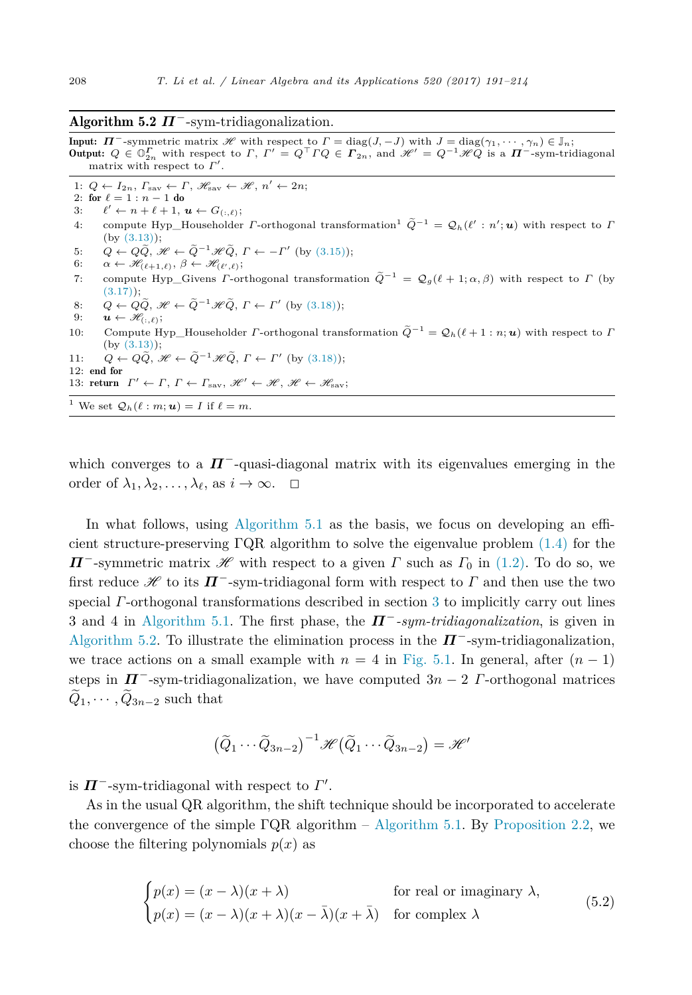#### <span id="page-17-0"></span>Algorithm 5.2 *Π*−-sym-tridiagonalization.

**Input:**  $\Pi$ <sup>-</sup>-symmetric matrix  $\mathscr{H}$  with respect to  $\Gamma = \text{diag}(J, -J)$  with  $J = \text{diag}(\gamma_1, \dots, \gamma_n) \in \mathbb{J}_n$ ; **Output:**  $Q ∈ \mathbb{O}_{2n}^{\Gamma}$  with respect to  $\Gamma$ ,  $\Gamma' = Q^{\top} \Gamma Q ∈ \Gamma_{2n}$ , and  $\mathcal{H}' = Q^{-1} \mathcal{H} Q$  is a  $\Pi^{-}$ -sym-tridiagonal matrix with respect to  $Γ'$ .

1:  $Q \leftarrow I_{2n}, F_{\text{sav}} \leftarrow F, \mathcal{H}_{\text{sav}} \leftarrow \mathcal{H}, n' \leftarrow 2n;$ 

2: for  $\ell = 1 : n - 1$  do<br>3:  $\ell' \leftarrow n + \ell + 1$ .

3:  $\ell' \leftarrow n + \ell + 1, u \leftarrow G_{(:,\ell)};$ 

4: compute Hyp\_Householder *Γ*-orthogonal transformation<sup>1</sup>  $\tilde{Q}^{-1} = Q_h(\ell' : n'; \boldsymbol{u})$  with respect to *Γ* (by [\(3.13\)\)](#page-10-0);

5:  $Q \leftarrow Q\tilde{Q}, \mathscr{H} \leftarrow \tilde{Q}^{-1}\mathscr{H}\tilde{Q}, \Gamma \leftarrow -\Gamma' \text{ (by (3.15))};$  $Q \leftarrow Q\tilde{Q}, \mathscr{H} \leftarrow \tilde{Q}^{-1}\mathscr{H}\tilde{Q}, \Gamma \leftarrow -\Gamma' \text{ (by (3.15))};$  $Q \leftarrow Q\tilde{Q}, \mathscr{H} \leftarrow \tilde{Q}^{-1}\mathscr{H}\tilde{Q}, \Gamma \leftarrow -\Gamma' \text{ (by (3.15))};$ 

 $6: \quad \alpha \leftarrow \mathscr{H}_{(\ell+1,\ell)}, \ \beta \leftarrow \mathscr{H}_{(\ell',\ell)};$ 

7: compute Hyp Givens *Γ*-orthogonal transformation  $\tilde{Q}^{-1} = Q_g(\ell + 1; \alpha, \beta)$  with respect to *Γ* (by  $(3.17)$ ;

8: 
$$
Q \leftarrow Q\tilde{Q}, \mathcal{H} \leftarrow \tilde{Q}^{-1}\mathcal{H}\tilde{Q}, \Gamma \leftarrow \Gamma'
$$
 (by (3.18));

9:  $\boldsymbol{u} \leftarrow \mathscr{H}_{(:,\ell)};$ 

10: Compute Hyp—Householder *Γ*-orthogonal transformation  $\tilde{Q}^{-1} = Q_h(\ell + 1 : n; u)$  with respect to *Γ* (by [\(3.13\)\)](#page-10-0);

11: 
$$
Q \leftarrow Q\tilde{Q}, \mathcal{H} \leftarrow \tilde{Q}^{-1}\mathcal{H}\tilde{Q}, \Gamma \leftarrow \Gamma'
$$
 (by (3.18));  
12: end for

13: return 
$$
\Gamma' \leftarrow \Gamma
$$
,  $\Gamma \leftarrow \Gamma_{\text{sav}}$ ,  $\mathcal{H}' \leftarrow \mathcal{H}$ ,  $\mathcal{H} \leftarrow \mathcal{H}_{\text{sav}}$ ;

<sup>1</sup> We set 
$$
Q_h(\ell : m; \mathbf{u}) = I
$$
 if  $\ell = m$ .

which converges to a  $\Pi^-$ -quasi-diagonal matrix with its eigenvalues emerging in the order of  $\lambda_1, \lambda_2, \ldots, \lambda_\ell$ , as  $i \to \infty$ .  $\Box$ 

In what follows, using [Algorithm 5.1](#page-15-0) as the basis, we focus on developing an efficient structure-preserving ΓQR algorithm to solve the eigenvalue problem [\(1.4\)](#page-1-0) for the *Π*<sup>−</sup>-symmetric matrix  $\mathscr H$  with respect to a given *Γ* such as  $\Gamma_0$  in [\(1.2\).](#page-1-0) To do so, we first reduce  $\mathscr H$  to its  $\boldsymbol{\Pi}^-$ -sym-tridiagonal form with respect to  $\boldsymbol{\Gamma}$  and then use the two special *Γ*-orthogonal transformations described in section [3](#page-6-0) to implicitly carry out lines 3 and 4 in [Algorithm 5.1.](#page-15-0) The first phase, the *Π*−*-sym-tridiagonalization*, is given in Algorithm 5.2. To illustrate the elimination process in the *Π*−-sym-tridiagonalization, we trace actions on a small example with  $n = 4$  in [Fig. 5.1.](#page-18-0) In general, after  $(n - 1)$ steps in  $\mathbf{\Pi}^{-}$ -sym-tridiagonalization, we have computed  $3n-2$  *Γ*-orthogonal matrices  $\ddot{Q}_1, \cdots, \ddot{Q}_{3n-2}$  such that

$$
(\widetilde{Q}_1 \cdots \widetilde{Q}_{3n-2})^{-1} \mathscr{H} (\widetilde{Q}_1 \cdots \widetilde{Q}_{3n-2}) = \mathscr{H}'
$$

is  $\Pi^-$ -sym-tridiagonal with respect to  $\Gamma'.$ 

As in the usual QR algorithm, the shift technique should be incorporated to accelerate the convergence of the simple  $\Gamma$ QR algorithm – [Algorithm 5.1.](#page-15-0) By [Proposition 2.2,](#page-6-0) we choose the filtering polynomials  $p(x)$  as

$$
\begin{cases}\np(x) = (x - \lambda)(x + \lambda) & \text{for real or imaginary } \lambda, \\
p(x) = (x - \lambda)(x + \lambda)(x - \bar{\lambda})(x + \bar{\lambda}) & \text{for complex } \lambda\n\end{cases}
$$
\n(5.2)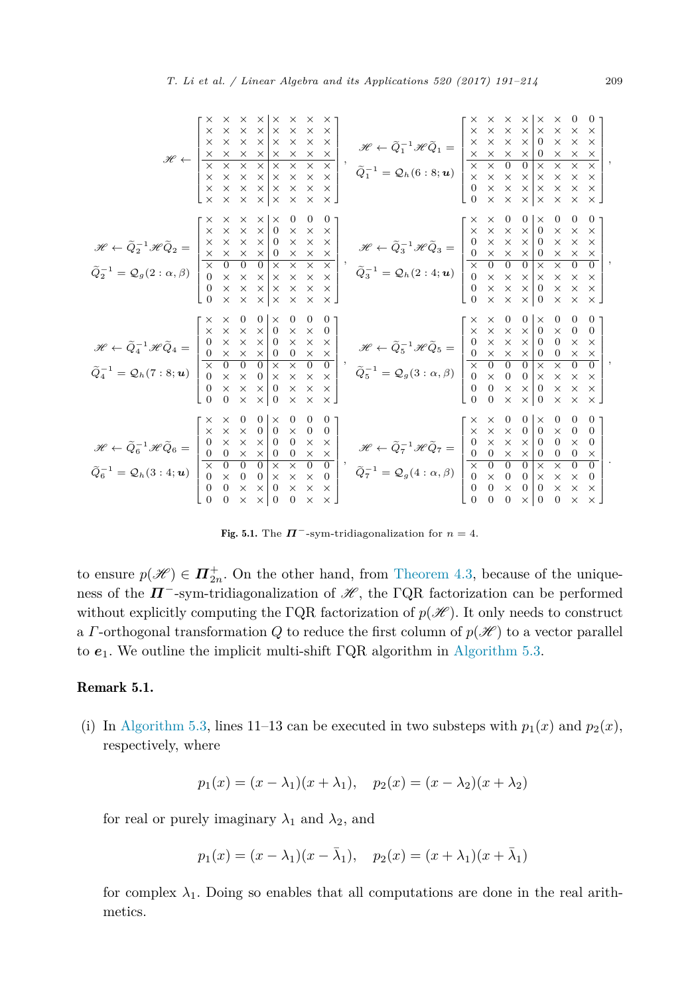<span id="page-18-0"></span>

|                                                                                                                                            | ×<br>$\times$<br>$\times$<br>$\times$<br>$\times$<br>$\times$<br>$\mathscr{H} \gets \left  \begin{array}{cccc} \times & \times & \times & \times & \times & \times & \times \\ \times & \times & \times & \times & \times & \times & \times \\ \times & \times & \times & \times & \times & \times & \times & \times \\ \times & \times & \times & \times & \times & \times & \times & \times \\ \times & \times & \times & \times & \times & \times & \times & \times \end{array} \right  ,$                                                                                                                                                                                                                                                                                                                                                                                                                                       | $\left \begin{array}{cc} \mathscr{H} \leftarrow \widetilde{Q}_1^{-1}\mathscr{H}\widetilde{Q}_1 = \begin{array}{ c c }\hline \times & \times & \times \ \times & \times & \times \ \times & \times & \times \end{array}\right. \ \hline \tilde{Q}_1^{-1} = \mathcal{Q}_h(6:8;\pmb{u}) & \begin{array}{ c c }\hline \times & \times & \times \ \times & \times \end{array}\right. \ \hline \end{array}$                                    | $0 -$<br>$\times$<br>$\times$<br>X<br>$\times$<br>$\times$<br>$\times$<br>$\times$<br>$\times$<br>$\boldsymbol{0}$<br>$\times$<br>×<br>$\times$<br>$\mathbf{0}$<br>$\times$<br>$\times$<br>×<br>$\overline{0}$<br>$\overline{\mathsf{x}}$<br>$\overline{\mathsf{x}}$<br>$\overline{\mathsf{x}}$<br>$\overline{\mathsf{x}}$<br>$\times$<br>$\times$<br>$\times$<br>$\times$<br>$\times$<br>$\times$<br>$\times$<br>$\times$<br>$\times$<br>$\times$<br>$\times$<br>$\Omega$<br>$\times$<br>$\times$<br>$\times$<br>$\times$<br>$\times$ $\times$<br>$\Omega$<br>$\times$                                                                                                                                                                                                                                                                                                                                                                    |
|--------------------------------------------------------------------------------------------------------------------------------------------|-------------------------------------------------------------------------------------------------------------------------------------------------------------------------------------------------------------------------------------------------------------------------------------------------------------------------------------------------------------------------------------------------------------------------------------------------------------------------------------------------------------------------------------------------------------------------------------------------------------------------------------------------------------------------------------------------------------------------------------------------------------------------------------------------------------------------------------------------------------------------------------------------------------------------------------|------------------------------------------------------------------------------------------------------------------------------------------------------------------------------------------------------------------------------------------------------------------------------------------------------------------------------------------------------------------------------------------------------------------------------------------|--------------------------------------------------------------------------------------------------------------------------------------------------------------------------------------------------------------------------------------------------------------------------------------------------------------------------------------------------------------------------------------------------------------------------------------------------------------------------------------------------------------------------------------------------------------------------------------------------------------------------------------------------------------------------------------------------------------------------------------------------------------------------------------------------------------------------------------------------------------------------------------------------------------------------------------------|
| $\mathscr{H} \leftarrow \widetilde{Q}_2^{-1} \mathscr{H} \widetilde{Q}_2 =$<br>$\widetilde{Q}_2^{-1} = \mathcal{Q}_g(2 : \alpha, \beta)$   | $\mathbf{0}$<br>$\mathbf{0}$<br>$\mathbf{0}$<br>×<br>×<br>$\times$<br>×<br>$\times$<br>$\frac{x}{x}$<br>$\times$                                                                                                                                                                                                                                                                                                                                                                                                                                                                                                                                                                                                                                                                                                                                                                                                                    | $\left\{\n\begin{array}{c}\n\mathscr{H} \leftarrow \widetilde{Q}_3^{-1} \mathscr{H} \widetilde{Q}_3 = \\ \delta \widetilde{Q}_3^{-1} = \mathcal{Q}_h(2:4; \mathbf{u})\n\end{array}\n\right\}$                                                                                                                                                                                                                                            | 0<br>$\mathbf{0}$<br>×<br>×<br>$\times$<br>$\times$<br>$\times$<br>$\times$<br>$\frac{\times}{0}$<br>$\times$<br>$\times$<br>$\times$ .                                                                                                                                                                                                                                                                                                                                                                                                                                                                                                                                                                                                                                                                                                                                                                                                    |
| $\mathscr{H} \leftarrow \widetilde{Q}_4^{-1} \mathscr{H} \widetilde{Q}_4 = \ \widetilde{Q}_4^{-1} = \mathcal{Q}_h(7:8; \boldsymbol{u})$    | $\boldsymbol{0}$<br>0 <sub>1</sub><br>$\theta$<br>$\mathbf{0}$<br>0<br>$\times$<br>$\times$<br>$\times$<br>$\times$<br>$\times$<br>$\boldsymbol{0}$<br>$\times$<br>$\boldsymbol{0}$<br>$\times$<br>$\begin{smallmatrix}0\\0\\0\end{smallmatrix}$<br>$\begin{array}{c}\n\times \\ \times \\ \times \\ \times \\ \times \\ \times \\ \times \\ \times\n\end{array}$<br>$\frac{\times}{\times}$<br>$\times$<br>$\left( \cdot \right)$<br>$\overline{0}$<br>$\times$<br>$\times$<br>$\overline{0}$<br>$\theta$<br>$\times$ $\overline{\phantom{0}}$                                                                                                                                                                                                                                                                                                                                                                                     | $\left[ \begin{array}{c} \mathcal{H} \leftarrow \widetilde{Q}_5^{-1} \mathcal{H} \widetilde{Q}_5 = \begin{array}{ c c } \times & \times & \times & \times & 0 \\ 0 & \times & \times & \times & 0 \\ 0 & \times & \times & \times & 0 \\ \hline \times & 0 & 0 & \times & \times \\ \hline \times & 0 & 0 & 0 & \times \\ 0 & \times & 0 & 0 & \times \\ 0 & 0 & \times & \times & 0 \\ 0 & 0 & \times & \times & 0 \end{array} \right]$ | $\mathbf{0}$<br>$\mathbf{0}$<br>$\mathbf{0}$<br>0<br>$\times$<br>$\times$<br>$\times$<br>$\times$<br>$\times$<br>$\boldsymbol{0}$<br>$\times$<br>$\boldsymbol{0}$<br>$\times$<br>$\boldsymbol{0}$<br>$\boldsymbol{0}$<br>$\times$<br>$\times$<br>$\times$<br>$\boldsymbol{0}$<br>$\times$<br>$\times$<br>$\overline{0}$<br>$\overline{0}$<br>$\times$ $\times$<br>$^{\times}_{\times}$<br>$\times$<br>$\times$<br>$\times$<br>$\times$ .                                                                                                                                                                                                                                                                                                                                                                                                                                                                                                   |
| $\mathscr{H} \leftarrow \widetilde{Q}_6^{-1} \mathscr{H} \widetilde{Q}_6 =$<br>$\widetilde{Q}_6^{-1} = \mathcal{Q}_h(3:4; \boldsymbol{u})$ | 0<br>0<br>$\boldsymbol{0}$<br>$\boldsymbol{0}$<br>0 <sub>1</sub><br>$\times$<br>$\times$<br>$\boldsymbol{0}$<br>0 <sup>1</sup><br>$\times$<br>$\mathbf{0}$<br>$\times$<br>$\times$<br>$\overline{0}$<br>$\boldsymbol{0}$<br>$\times$<br>$\times$<br>$\overline{0}$<br>$\times$<br>$\overline{0}$<br>$\times$<br>$\times$<br>$\boldsymbol{0}$<br>$\frac{\times}{0}$<br>$\mathbf{0}$<br>$\frac{\times}{0}$<br>$\times$<br>$\overline{0}$<br>$\boldsymbol{0}$<br>$\frac{\times}{0}$<br>$\overline{0}$<br>$\overline{0}$<br>$\times$<br>$\overline{\mathsf{x}}$<br>$\times$<br>$\times$<br>$\boldsymbol{0}$<br>$\times$<br>$^{\times}_{\times}$<br>$\boldsymbol{0}$<br>$\times$<br>$\mathbf{0}$<br>$\overline{0}$<br>$\times$<br>$\times$<br>$\overline{0}$<br>$\overline{0}$<br>$\times$<br>$\times$<br>$\overline{0}$<br>$\Omega$<br>$\overline{0}$<br>$\times$ $\rfloor$<br>$\overline{0}$<br>$\times$<br>$\times$<br>$\overline{0}$ | $\left  \begin{array}{l} \mathscr{H} \leftarrow \tilde{Q}_7^{-1}\mathscr{H}\tilde{Q}_7 = \\ \\ \tilde{Q}_7^{-1} = \mathcal{Q}_g(4:\alpha,\beta) \end{array} \right.$                                                                                                                                                                                                                                                                     | $\mathbf{0}$<br>$\mathbf{0}$<br>$\theta$<br>$\times$<br>$\times$<br>$\times$<br>$\boldsymbol{0}$<br>$\times$<br>$\mathbf{0}$<br>$\times$<br>$\overline{0}$<br>$\boldsymbol{0}$<br>$\boldsymbol{0}$<br>$\times$<br>$\times$<br>$\times$<br>$\boldsymbol{0}$<br>$\times$<br>$\boldsymbol{0}$<br>$\overline{0}$<br>$\overline{0}$<br>$\boldsymbol{0}$<br>$\frac{\times}{0}$<br>$\frac{\times}{0}$<br>$\boldsymbol{0}$<br>$\boldsymbol{0}$<br>$\boldsymbol{0}$<br>$\times$<br>$\overline{0}$<br>$\overline{0}$<br>$\overline{0}$<br>$\times$<br>$\overline{\mathsf{x}}$<br>$\overline{\mathsf{x}}$<br>$\boldsymbol{0}$<br>$\times$<br>$\begin{matrix} 0 \\ 0 \end{matrix}$<br>$\boldsymbol{0}$<br>$\times$<br>$\times$<br>$\mathbf{0}$<br>$\mathbf{0}$<br>$\times$<br>$\times$<br>$\overline{0}$<br>$\times$<br>$\overline{0}$<br>$\times$<br>$\overline{0}$<br>$\theta$<br>$\times$<br>$\Omega$<br>$\times$   0<br>$\overline{0}$<br>$\times$ |

Fig. 5.1. The  $\Pi^-$ -sym-tridiagonalization for  $n=4$ .

to ensure  $p(\mathscr{H}) \in \mathbf{\Pi}_{2n}^+$ . On the other hand, from [Theorem 4.3,](#page-14-0) because of the uniqueness of the  $\mathbf{\Pi}^-$ -sym-tridiagonalization of  $\mathcal{H}$ , the ΓQR factorization can be performed without explicitly computing the  $\Gamma$ QR factorization of  $p(\mathscr{H})$ . It only needs to construct a *Γ*-orthogonal transformation *Q* to reduce the first column of  $p(\mathcal{H})$  to a vector parallel to  $e_1$ . We outline the implicit multi-shift  $\Gamma$ QR algorithm in [Algorithm 5.3.](#page-19-0)

# Remark 5.1.

(i) In [Algorithm 5.3,](#page-19-0) lines 11–13 can be executed in two substeps with  $p_1(x)$  and  $p_2(x)$ , respectively, where

$$
p_1(x) = (x - \lambda_1)(x + \lambda_1), \quad p_2(x) = (x - \lambda_2)(x + \lambda_2)
$$

for real or purely imaginary  $\lambda_1$  and  $\lambda_2$ , and

$$
p_1(x) = (x - \lambda_1)(x - \bar{\lambda}_1), \quad p_2(x) = (x + \lambda_1)(x + \bar{\lambda}_1)
$$

for complex  $\lambda_1$ . Doing so enables that all computations are done in the real arithmetics.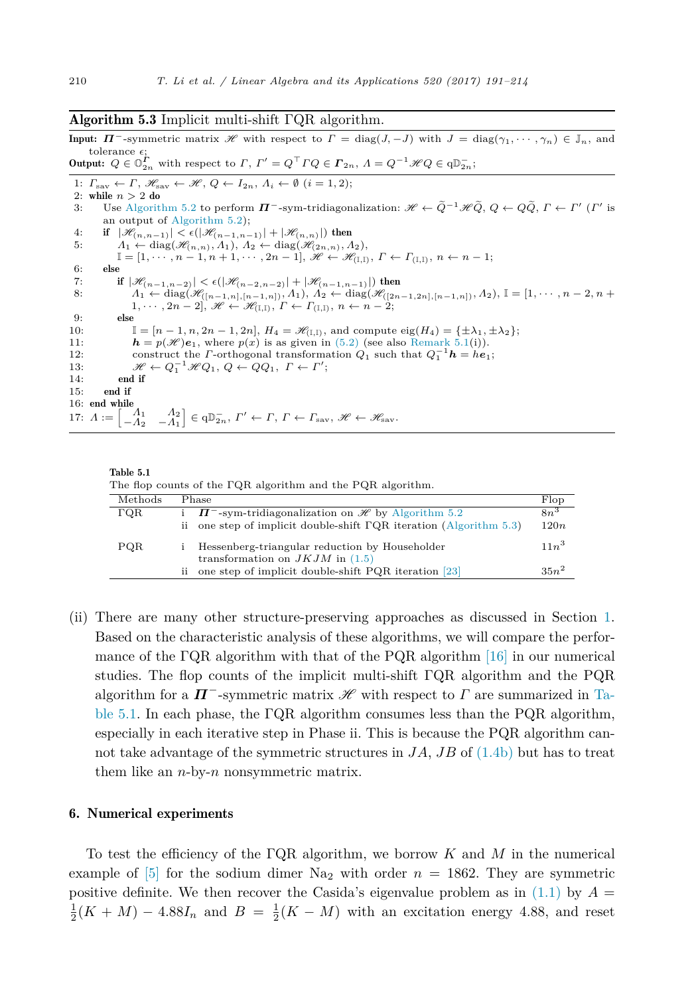#### <span id="page-19-0"></span>Algorithm 5.3 Implicit multi-shift  $\Gamma$ QR algorithm.

Input:  $\Pi^{-}$ -symmetric matrix  $\mathscr{H}$  with respect to  $\Gamma = \text{diag}(J, -J)$  with  $J = \text{diag}(\gamma_1, \dots, \gamma_n) \in \mathbb{J}_n$ , and tolerance  $\epsilon$ : Output:  $Q \in \mathbb{O}_{2n}^{\Gamma}$  with respect to  $\Gamma$ ,  $\Gamma' = Q^{\top} \Gamma Q \in \Gamma_{2n}$ ,  $\Lambda = Q^{-1} \mathscr{H} Q \in \mathbb{O}_{2n}^{\top}$ ;

1:  $\Gamma_{\text{sav}} \leftarrow \Gamma$ ,  $\mathscr{H}_{\text{sav}} \leftarrow \mathscr{H}$ ,  $Q \leftarrow I_{2n}$ ,  $\Lambda_i \leftarrow \emptyset$   $(i = 1, 2)$ ; 2: while  $n > 2$  do 3: Use [Algorithm 5.2](#page-17-0) to perform  $\Pi^-$ -sym-tridiagonalization:  $\mathscr{H} \leftarrow \tilde{Q}^{-1}\mathscr{H}\tilde{Q}$ ,  $Q \leftarrow Q\tilde{Q}$ ,  $\Gamma \leftarrow \Gamma'$  ( $\Gamma'$  is an output of [Algorithm 5.2\)](#page-17-0); 4: if  $|\mathcal{H}_{(n,n-1)}| < \epsilon(|\mathcal{H}_{(n-1,n-1)}| + |\mathcal{H}_{(n,n)}|)$  then<br>5:  $\Lambda_1 \leftarrow \text{diag}(\mathcal{H}_{(n,n)}, \Lambda_1), \Lambda_2 \leftarrow \text{diag}(\mathcal{H}_{(2n,n)}, \Lambda_2)$  $A_1 \leftarrow \text{diag}(\mathcal{H}_{(n,n)}, A_1), A_2 \leftarrow \text{diag}(\mathcal{H}_{(2n,n)}, A_2),$  $\mathbb{I} = [1, \cdots, n-1, n+1, \cdots, 2n-1], \mathscr{H} \leftarrow \mathscr{H}_{(\mathbb{I}, \mathbb{I})}, F \leftarrow \Gamma_{(\mathbb{I}, \mathbb{I})}, n \leftarrow n-1;$ 6: else 7: if  $|\mathcal{H}_{(n-1,n-2)}| < \epsilon(|\mathcal{H}_{(n-2,n-2)}| + |\mathcal{H}_{(n-1,n-1)}|)$  then<br>8:  $\Lambda_1 \leftarrow \text{diag}(\mathcal{H}_{([n-1,n],[n-1,n])}, \Lambda_1), \Lambda_2 \leftarrow \text{diag}(\mathcal{H}_{([2n-1,2n],[n-1,n])}, \Lambda_2), \mathbb{I} = [1, \cdots, n-2, n+1]$  $1, \cdots, 2n-2$ ,  $\mathscr{H} \leftarrow \mathscr{H}_{(\mathbb{I},\mathbb{I})}, T \leftarrow \Gamma_{(\mathbb{I},\mathbb{I})}, n \leftarrow n-2;$ 9: else 10:  $\mathbb{I} = [n-1, n, 2n-1, 2n], H_4 = \mathcal{H}_{(I,I)},$  and compute eig $(H_4) = {\pm \lambda_1, \pm \lambda_2};$ <br>11:  $\mathbf{h} = p(\mathcal{H})\mathbf{e}_1$ , where  $p(x)$  is as given in (5.2) (see also Remark 5.1(i)).  $h = p(\mathcal{H})e_1$ , where  $p(x)$  is as given in [\(5.2\)](#page-17-0) (see also [Remark 5.1\(](#page-18-0)i)). 12: construct the *Γ*-orthogonal transformation  $Q_1$  such that  $Q_1^{-1}h = he_1$ ; 13:  $\mathcal{H} \leftarrow Q_1^{-1} \mathcal{H} Q_1, Q \leftarrow Q Q_1, \Gamma \leftarrow \Gamma';$ 14: end if 15: end if 16: end while 17:  $A := \begin{bmatrix} A_1 & A_2 \\ -A_2 & -A_1 \end{bmatrix}$  $\Big] \in \mathsf{qD}^-_{2n},\ \Gamma' \leftarrow \Gamma,\ \Gamma \leftarrow \Gamma_{\text{sav}},\ \mathscr{H} \leftarrow \mathscr{H}_{\text{sav}}.$ 



The flop counts of the ΓQR algorithm and the PQR algorithm.

| Methods     |    | Phase                                                                                                                                         | Flop           |
|-------------|----|-----------------------------------------------------------------------------------------------------------------------------------------------|----------------|
| $\Gamma$ QR |    | $\Pi$ <sup>-</sup> -sym-tridiagonalization on H by Algorithm 5.2<br>ii one step of implicit double-shift $\GammaQR$ iteration (Algorithm 5.3) | $8n^3$<br>120n |
|             |    |                                                                                                                                               | $11n^3$        |
| PQR         |    | Hessenberg-triangular reduction by Householder<br>transformation on $JKJM$ in (1.5)                                                           |                |
|             | ij | one step of implicit double-shift PQR iteration [23]                                                                                          | $35n^2$        |

(ii) There are many other structure-preserving approaches as discussed in Section [1.](#page-1-0) Based on the characteristic analysis of these algorithms, we will compare the performance of the  $\Gamma$ QR algorithm with that of the PQR algorithm [\[16\]](#page-23-0) in our numerical studies. The flop counts of the implicit multi-shift ΓQR algorithm and the PQR algorithm for a  $\mathbf{\Pi}^-$ -symmetric matrix  $\mathscr{H}$  with respect to  $\Gamma$  are summarized in Table 5.1. In each phase, the  $\Gamma$ QR algorithm consumes less than the PQR algorithm, especially in each iterative step in Phase ii. This is because the PQR algorithm cannot take advantage of the symmetric structures in  $JA$ ,  $JB$  of  $(1.4b)$  but has to treat them like an *n*-by-*n* nonsymmetric matrix.

#### 6. Numerical experiments

To test the efficiency of the ΓQR algorithm, we borrow *K* and *M* in the numerical example of  $\left|5\right|$  for the sodium dimer Na<sub>2</sub> with order  $n = 1862$ . They are symmetric positive definite. We then recover the Casida's eigenvalue problem as in  $(1.1)$  by  $A =$  $\frac{1}{2}(K+M) - 4.88I_n$  and  $B = \frac{1}{2}(K-M)$  with an excitation energy 4.88, and reset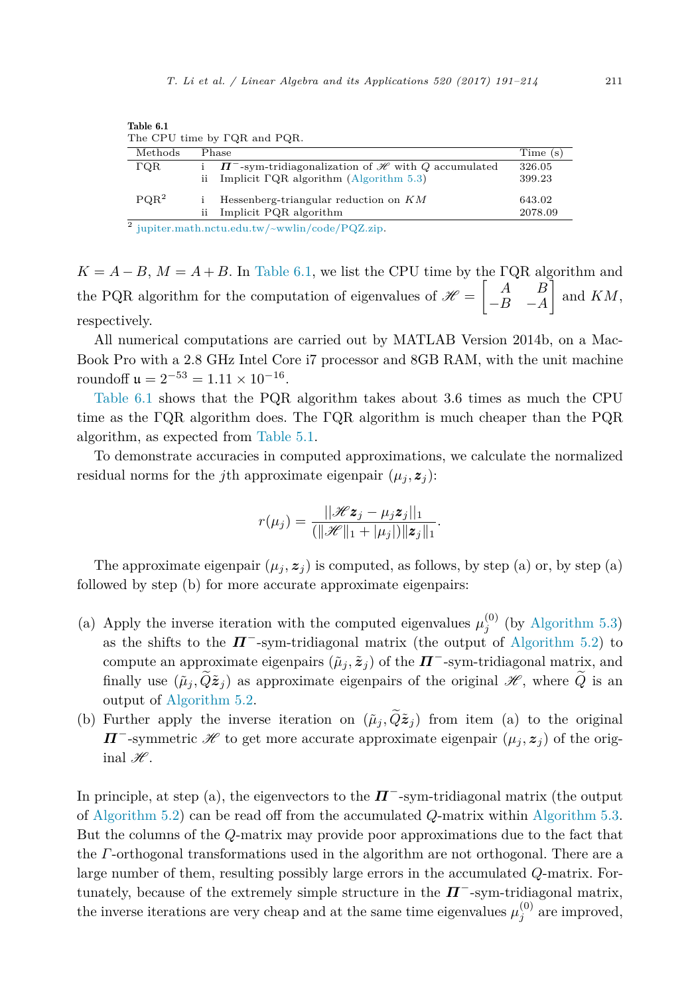|                  |     | The CPU time by FQR and PQR.                                                                                                                                  |         |
|------------------|-----|---------------------------------------------------------------------------------------------------------------------------------------------------------------|---------|
| Methods          |     | Phase                                                                                                                                                         | Time(s) |
| $\Gamma$ QR      |     | $\Pi$ <sup>-</sup> -sym-tridiagonalization of <i>H</i> with Q accumulated                                                                                     | 326.05  |
|                  | ii  | Implicit $\Gamma$ QR algorithm (Algorithm 5.3)                                                                                                                | 399.23  |
| PQR <sup>2</sup> |     | Hessenberg-triangular reduction on $KM$                                                                                                                       | 643.02  |
|                  | ii. | Implicit PQR algorithm                                                                                                                                        | 2078.09 |
|                  |     | $\frac{1}{2}$ , $\frac{1}{2}$ , $\frac{1}{2}$ , $\frac{1}{2}$ , $\frac{1}{2}$ , $\frac{1}{2}$ , $\frac{1}{2}$ , $\frac{1}{2}$ , $\frac{1}{2}$ , $\frac{1}{2}$ |         |

Table 6.1 The CPU time by ΓQR and PQR.

[jupiter.math.nctu.edu.tw/~wwlin/code/PQZ.zip](http://jupiter.math.nctu.edu.tw/~wwlin/code/PQZ.zip).

 $K = A - B$ ,  $M = A + B$ . In Table 6.1, we list the CPU time by the FQR algorithm and the PQR algorithm for the computation of eigenvalues of  $\mathcal{H} =$  $\begin{bmatrix} A & B \end{bmatrix}$ −*B* −*A* Ī and *KM*, respectively.

All numerical computations are carried out by MATLAB Version 2014b, on a Mac-Book Pro with a 2.8 GHz Intel Core i7 processor and 8GB RAM, with the unit machine roundoff  $\mu = 2^{-53} = 1.11 \times 10^{-16}$ .

Table 6.1 shows that the PQR algorithm takes about 3*.*6 times as much the CPU time as the ΓQR algorithm does. The ΓQR algorithm is much cheaper than the PQR algorithm, as expected from [Table 5.1.](#page-19-0)

To demonstrate accuracies in computed approximations, we calculate the normalized residual norms for the *j*th approximate eigenpair  $(\mu_j, \mathbf{z}_j)$ :

$$
r(\mu_j) = \frac{||\mathcal{H}z_j - \mu_j z_j||_1}{(||\mathcal{H}||_1 + |\mu_j|)||z_j||_1}.
$$

The approximate eigenpair  $(\mu_j, z_j)$  is computed, as follows, by step (a) or, by step (a) followed by step (b) for more accurate approximate eigenpairs:

- (a) Apply the inverse iteration with the computed eigenvalues  $\mu_j^{(0)}$  (by [Algorithm 5.3\)](#page-19-0) as the shifts to the  $\boldsymbol{\Pi}^-$ -sym-tridiagonal matrix (the output of [Algorithm 5.2\)](#page-17-0) to compute an approximate eigenpairs  $(\tilde{\mu}_j, \tilde{z}_j)$  of the  $\Pi^-$ -sym-tridiagonal matrix, and finally use  $(\tilde{\mu}_j, \tilde{Q}z_j)$  as approximate eigenpairs of the original  $\mathscr{H}$ , where  $\tilde{Q}$  is an output of [Algorithm 5.2.](#page-17-0)
- (b) Further apply the inverse iteration on  $(\tilde{\mu}_j, \tilde{Q}\tilde{z}_j)$  from item (a) to the original *Π*<sup>−</sup>-symmetric *H* to get more accurate approximate eigenpair  $(\mu_j, z_j)$  of the original  $\mathscr{H}$ .

In principle, at step (a), the eigenvectors to the  $\mathbf{\Pi}^-$ -sym-tridiagonal matrix (the output of [Algorithm 5.2\)](#page-17-0) can be read off from the accumulated *Q*-matrix within [Algorithm 5.3.](#page-19-0) But the columns of the *Q*-matrix may provide poor approximations due to the fact that the *Γ*-orthogonal transformations used in the algorithm are not orthogonal. There are a large number of them, resulting possibly large errors in the accumulated *Q*-matrix. Fortunately, because of the extremely simple structure in the  $\mathbf{\Pi}^{-}$ -sym-tridiagonal matrix, the inverse iterations are very cheap and at the same time eigenvalues  $\mu_j^{(0)}$  are improved,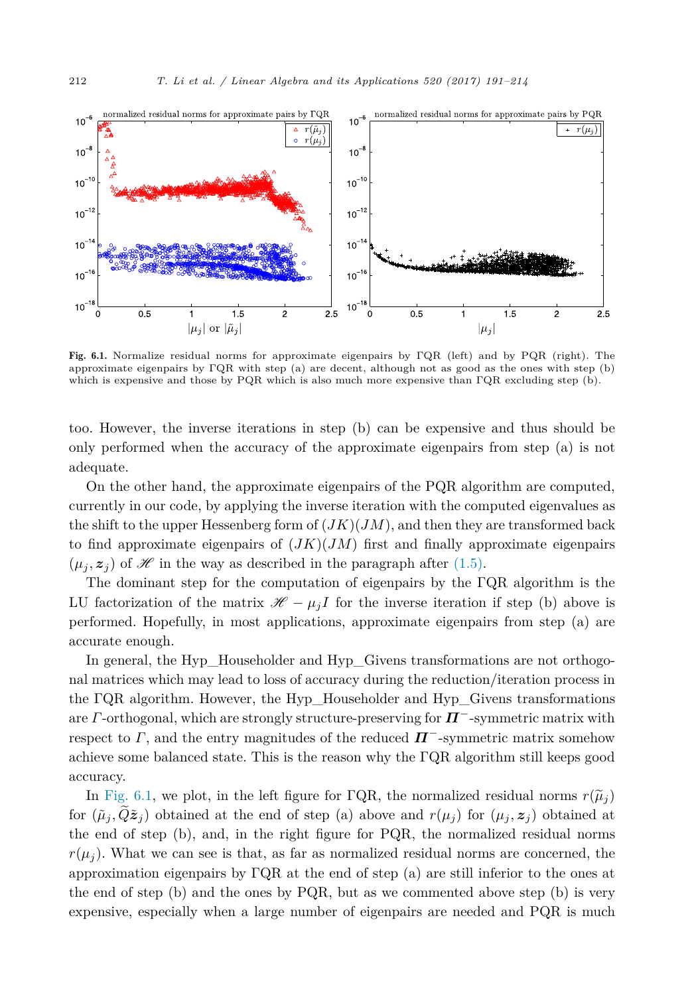

Fig. 6.1. Normalize residual norms for approximate eigenpairs by ΓQR (left) and by PQR (right). The approximate eigenpairs by ΓQR with step (a) are decent, although not as good as the ones with step (b) which is expensive and those by PQR which is also much more expensive than ΓQR excluding step (b).

too. However, the inverse iterations in step (b) can be expensive and thus should be only performed when the accuracy of the approximate eigenpairs from step (a) is not adequate.

On the other hand, the approximate eigenpairs of the PQR algorithm are computed, currently in our code, by applying the inverse iteration with the computed eigenvalues as the shift to the upper Hessenberg form of  $(JK)(JM)$ , and then they are transformed back to find approximate eigenpairs of  $(JK)(JM)$  first and finally approximate eigenpairs  $(\mu_i, z_i)$  of H in the way as described in the paragraph after [\(1.5\).](#page-2-0)

The dominant step for the computation of eigenpairs by the ΓQR algorithm is the LU factorization of the matrix  $\mathcal{H} - \mu_j I$  for the inverse iteration if step (b) above is performed. Hopefully, in most applications, approximate eigenpairs from step (a) are accurate enough.

In general, the Hyp\_Householder and Hyp\_Givens transformations are not orthogonal matrices which may lead to loss of accuracy during the reduction/iteration process in the ΓQR algorithm. However, the Hyp\_Householder and Hyp\_Givens transformations are *Γ*-orthogonal, which are strongly structure-preserving for *Π*−-symmetric matrix with respect to  $\Gamma$ , and the entry magnitudes of the reduced  $\mathbf{\Pi}^-$ -symmetric matrix somehow achieve some balanced state. This is the reason why the ΓQR algorithm still keeps good accuracy.

In Fig. 6.1, we plot, in the left figure for  $\Gamma$ QR, the normalized residual norms  $r(\tilde{\mu}_i)$ for  $(\tilde{\mu}_i, Q\tilde{z}_i)$  obtained at the end of step (a) above and  $r(\mu_i)$  for  $(\mu_i, z_i)$  obtained at the end of step (b), and, in the right figure for PQR, the normalized residual norms  $r(\mu_i)$ . What we can see is that, as far as normalized residual norms are concerned, the approximation eigenpairs by  $\Gamma$ QR at the end of step (a) are still inferior to the ones at the end of step (b) and the ones by PQR, but as we commented above step (b) is very expensive, especially when a large number of eigenpairs are needed and PQR is much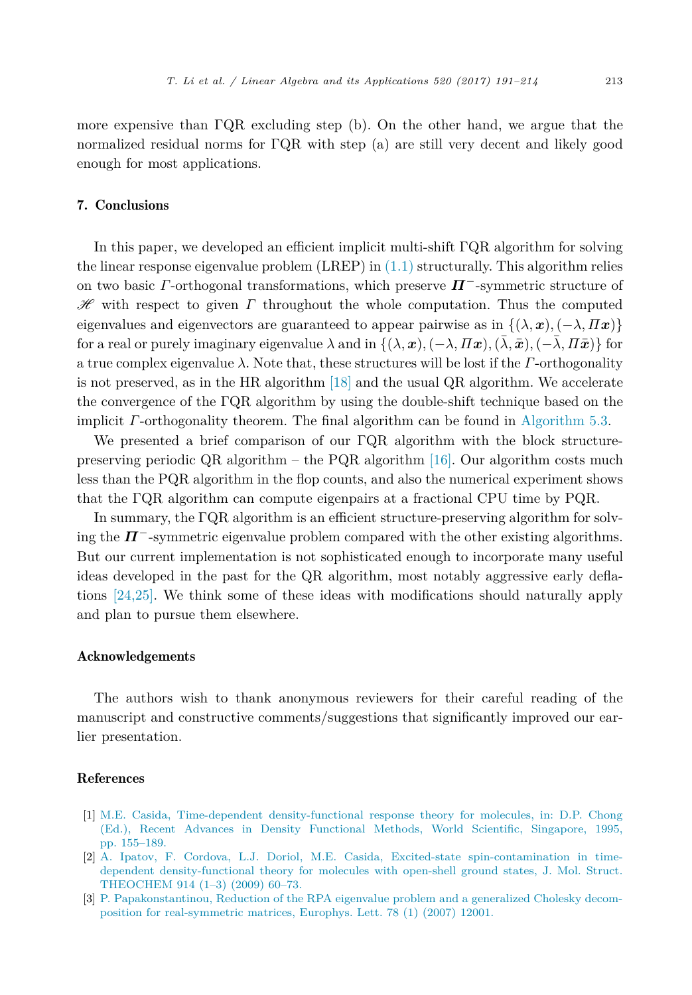<span id="page-22-0"></span>more expensive than ΓQR excluding step (b). On the other hand, we argue that the normalized residual norms for ΓQR with step (a) are still very decent and likely good enough for most applications.

# 7. Conclusions

In this paper, we developed an efficient implicit multi-shift ΓQR algorithm for solving the linear response eigenvalue problem  $(LREP)$  in  $(1.1)$  structurally. This algorithm relies on two basic *Γ*-orthogonal transformations, which preserve *Π*−-symmetric structure of H with respect to given *Γ* throughout the whole computation. Thus the computed eigenvalues and eigenvectors are guaranteed to appear pairwise as in  $\{(\lambda, x), (-\lambda, \Pi x)\}\$ for a real or purely imaginary eigenvalue  $\lambda$  and in  $\{(\lambda, \mathbf{x}), (-\lambda, \Pi\mathbf{x}), (\lambda, \bar{\mathbf{x}}), (-\lambda, \Pi\bar{\mathbf{x}})\}\$ for a true complex eigenvalue *λ*. Note that, these structures will be lost if the *Γ*-orthogonality is not preserved, as in the HR algorithm [\[18\]](#page-23-0) and the usual QR algorithm. We accelerate the convergence of the ΓQR algorithm by using the double-shift technique based on the implicit *Γ*-orthogonality theorem. The final algorithm can be found in [Algorithm 5.3.](#page-19-0)

We presented a brief comparison of our ΓQR algorithm with the block structurepreserving periodic QR algorithm – the PQR algorithm  $[16]$ . Our algorithm costs much less than the PQR algorithm in the flop counts, and also the numerical experiment shows that the ΓQR algorithm can compute eigenpairs at a fractional CPU time by PQR.

In summary, the ΓQR algorithm is an efficient structure-preserving algorithm for solving the  $\Pi^-$ -symmetric eigenvalue problem compared with the other existing algorithms. But our current implementation is not sophisticated enough to incorporate many useful ideas developed in the past for the QR algorithm, most notably aggressive early deflations [\[24,25\].](#page-23-0) We think some of these ideas with modifications should naturally apply and plan to pursue them elsewhere.

## Acknowledgements

The authors wish to thank anonymous reviewers for their careful reading of the manuscript and constructive comments/suggestions that significantly improved our earlier presentation.

#### References

- [1] M.E. Casida, Time-dependent [density-functional](http://refhub.elsevier.com/S0024-3795(17)30018-6/bib636173693A3935s1) response theory for molecules, in: D.P. Chong (Ed.), Recent Advances in Density [Functional](http://refhub.elsevier.com/S0024-3795(17)30018-6/bib636173693A3935s1) Methods, World Scientific, Singapore, 1995, [pp. 155–189.](http://refhub.elsevier.com/S0024-3795(17)30018-6/bib636173693A3935s1)
- [2] A. Ipatov, F. Cordova, L.J. Doriol, M.E. Casida, Excited-state [spin-contamination](http://refhub.elsevier.com/S0024-3795(17)30018-6/bib697063643A3039s1) in timedependent [density-functional](http://refhub.elsevier.com/S0024-3795(17)30018-6/bib697063643A3039s1) theory for molecules with open-shell ground states, J. Mol. Struct. [THEOCHEM](http://refhub.elsevier.com/S0024-3795(17)30018-6/bib697063643A3039s1) 914 (1–3) (2009) 60–73.
- [3] P. [Papakonstantinou,](http://refhub.elsevier.com/S0024-3795(17)30018-6/bib706170613A3037s1) Reduction of the RPA eigenvalue problem and a generalized Cholesky decomposition for [real-symmetric](http://refhub.elsevier.com/S0024-3795(17)30018-6/bib706170613A3037s1) matrices, Europhys. Lett. 78 (1) (2007) 12001.